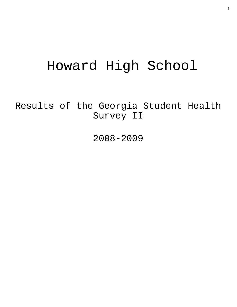# Howard High School

Results of the Georgia Student Health Survey II

2008-2009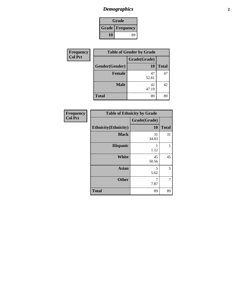# *Demographics* **2**

| Grade                  |    |
|------------------------|----|
| <b>Grade</b> Frequency |    |
| 10                     | 89 |

| Frequency      | <b>Table of Gender by Grade</b> |              |              |
|----------------|---------------------------------|--------------|--------------|
| <b>Col Pct</b> |                                 | Grade(Grade) |              |
|                | Gender(Gender)                  | <b>10</b>    | <b>Total</b> |
|                | <b>Female</b>                   | 47<br>52.81  | 47           |
|                | <b>Male</b>                     | 42<br>47.19  | 42           |
|                | <b>Total</b>                    | 89           | 89           |

| <b>Frequency</b><br>Col Pct |
|-----------------------------|

|                              | <b>Table of Ethnicity by Grade</b> |              |  |
|------------------------------|------------------------------------|--------------|--|
|                              | Grade(Grade)                       |              |  |
| <b>Ethnicity</b> (Ethnicity) | 10                                 | <b>Total</b> |  |
| <b>Black</b>                 | 31<br>34.83                        | 31           |  |
| <b>Hispanic</b>              | 1.12                               |              |  |
| <b>White</b>                 | 45<br>50.56                        | 45           |  |
| <b>Asian</b>                 | 5<br>5.62                          | 5            |  |
| <b>Other</b>                 | 7.87                               |              |  |
| <b>Total</b>                 | 89                                 | 89           |  |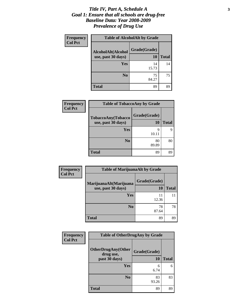#### *Title IV, Part A, Schedule A* **3** *Goal 1: Ensure that all schools are drug-free Baseline Data: Year 2008-2009 Prevalence of Drug Use*

| <b>Frequency</b> | <b>Table of AlcoholAlt by Grade</b>      |                           |              |
|------------------|------------------------------------------|---------------------------|--------------|
| <b>Col Pct</b>   | AlcoholAlt(Alcohol<br>use, past 30 days) | Grade(Grade)<br><b>10</b> | <b>Total</b> |
|                  | <b>Yes</b>                               | 14<br>15.73               | 14           |
|                  | N <sub>0</sub>                           | 75<br>84.27               | 75           |
|                  | Total                                    | 89                        | 89           |

| Frequency      | <b>Table of TobaccoAny by Grade</b>      |                    |              |
|----------------|------------------------------------------|--------------------|--------------|
| <b>Col Pct</b> | TobaccoAny(Tobacco<br>use, past 30 days) | Grade(Grade)<br>10 | <b>Total</b> |
|                | Yes                                      | 9<br>10.11         | 9            |
|                | N <sub>0</sub>                           | 80<br>89.89        | 80           |
|                | <b>Total</b>                             | 89                 | 89           |

| <b>Frequency</b> | <b>Table of MarijuanaAlt by Grade</b>        |                           |       |
|------------------|----------------------------------------------|---------------------------|-------|
| <b>Col Pct</b>   | MarijuanaAlt(Marijuana<br>use, past 30 days) | Grade(Grade)<br><b>10</b> | Total |
|                  | Yes                                          | 11<br>12.36               |       |
|                  | N <sub>0</sub>                               | 78<br>87.64               | 78    |
|                  | <b>Total</b>                                 | 89                        | 89    |

| <b>Frequency</b> | <b>Table of OtherDrugAny by Grade</b>  |              |              |
|------------------|----------------------------------------|--------------|--------------|
| <b>Col Pct</b>   | <b>OtherDrugAny(Other</b><br>drug use, | Grade(Grade) |              |
|                  | past 30 days)                          | <b>10</b>    | <b>Total</b> |
|                  | Yes                                    | 6<br>6.74    | 6            |
|                  | N <sub>0</sub>                         | 83<br>93.26  | 83           |
|                  | <b>Total</b>                           | 89           | 89           |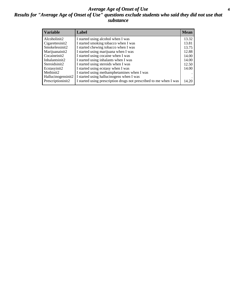#### *Average Age of Onset of Use* **4** *Results for "Average Age of Onset of Use" questions exclude students who said they did not use that substance*

| <b>Variable</b>    | Label                                                              | <b>Mean</b> |
|--------------------|--------------------------------------------------------------------|-------------|
| Alcoholinit2       | I started using alcohol when I was                                 | 13.32       |
| Cigarettesinit2    | I started smoking tobacco when I was                               | 13.81       |
| Smokelessinit2     | I started chewing tobacco when I was                               | 13.75       |
| Marijuanainit2     | I started using marijuana when I was                               | 12.88       |
| Cocaineinit2       | I started using cocaine when I was                                 | 14.00       |
| Inhalantsinit2     | I started using inhalants when I was                               | 14.00       |
| Steroidsinit2      | I started using steroids when I was                                | 12.50       |
| Ecstasyinit2       | I started using ecstasy when I was                                 | 14.00       |
| Methinit2          | I started using methamphetamines when I was                        |             |
| Hallucinogensinit2 | I started using hallucinogens when I was                           |             |
| Prescriptioninit2  | I started using prescription drugs not prescribed to me when I was | 14.20       |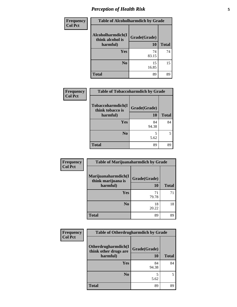# *Perception of Health Risk* **5**

| Frequency      | <b>Table of Alcoholharmdich by Grade</b> |              |              |
|----------------|------------------------------------------|--------------|--------------|
| <b>Col Pct</b> | Alcoholharmdich(I<br>think alcohol is    | Grade(Grade) |              |
|                | harmful)                                 | 10           | <b>Total</b> |
|                | <b>Yes</b>                               | 74           | 74           |
|                |                                          | 83.15        |              |
|                | N <sub>0</sub>                           | 15<br>16.85  | 15           |
|                | <b>Total</b>                             | 89           | 89           |

| <b>Frequency</b> | <b>Table of Tobaccoharmdich by Grade</b>          |                    |              |
|------------------|---------------------------------------------------|--------------------|--------------|
| <b>Col Pct</b>   | Tobaccoharmdich(I<br>think tobacco is<br>harmful) | Grade(Grade)<br>10 | <b>Total</b> |
|                  | Yes                                               | 84<br>94.38        | 84           |
|                  | N <sub>0</sub>                                    | 5.62               | 5            |
|                  | <b>Total</b>                                      | 89                 | 89           |
|                  |                                                   |                    |              |

| Frequency<br><b>Col Pct</b> | <b>Table of Marijuanaharmdich by Grade</b> |              |              |
|-----------------------------|--------------------------------------------|--------------|--------------|
|                             | Marijuanaharmdich(I<br>think marijuana is  | Grade(Grade) |              |
|                             | harmful)                                   | 10           | <b>Total</b> |
|                             | Yes                                        | 71<br>79.78  | 71           |
|                             | N <sub>0</sub>                             | 18<br>20.22  | 18           |
|                             | <b>Total</b>                               | 89           | 89           |

| Frequency      | <b>Table of Otherdrugharmdich by Grade</b>   |              |              |  |  |
|----------------|----------------------------------------------|--------------|--------------|--|--|
| <b>Col Pct</b> | Otherdrugharmdich(I<br>think other drugs are | Grade(Grade) |              |  |  |
|                | harmful)                                     | 10           | <b>Total</b> |  |  |
|                | <b>Yes</b>                                   | 84<br>94.38  | 84           |  |  |
|                | N <sub>0</sub>                               | 5.62         | 5            |  |  |
|                | <b>Total</b>                                 | 89           | 89           |  |  |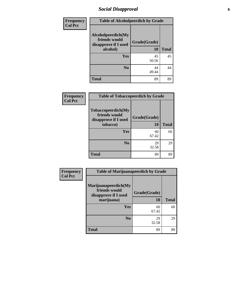### *Social Disapproval* **6**

| <b>Frequency</b> | <b>Table of Alcoholpeerdich by Grade</b>                    |              |              |  |  |
|------------------|-------------------------------------------------------------|--------------|--------------|--|--|
| <b>Col Pct</b>   | Alcoholpeerdich(My<br>friends would<br>disapprove if I used | Grade(Grade) |              |  |  |
|                  | alcohol)                                                    | 10           | <b>Total</b> |  |  |
|                  | Yes                                                         | 45<br>50.56  | 45           |  |  |
|                  | N <sub>0</sub>                                              | 44<br>49.44  | 44           |  |  |
|                  | <b>Total</b>                                                | 89           | 89           |  |  |

| <b>Frequency</b> | <b>Table of Tobaccopeerdich by Grade</b>                                |                    |              |  |  |
|------------------|-------------------------------------------------------------------------|--------------------|--------------|--|--|
| <b>Col Pct</b>   | Tobaccopeerdich(My<br>friends would<br>disapprove if I used<br>tobacco) | Grade(Grade)<br>10 | <b>Total</b> |  |  |
|                  |                                                                         |                    |              |  |  |
|                  | Yes                                                                     | 60<br>67.42        | 60           |  |  |
|                  | N <sub>0</sub>                                                          | 29<br>32.58        | 29           |  |  |
|                  | <b>Total</b>                                                            | 89                 | 89           |  |  |

| Frequency      | <b>Table of Marijuanapeerdich by Grade</b>                                  |                    |              |  |  |
|----------------|-----------------------------------------------------------------------------|--------------------|--------------|--|--|
| <b>Col Pct</b> | Marijuanapeerdich(My<br>friends would<br>disapprove if I used<br>marijuana) | Grade(Grade)<br>10 | <b>Total</b> |  |  |
|                | <b>Yes</b>                                                                  | 60<br>67.42        | 60           |  |  |
|                | N <sub>0</sub>                                                              | 29<br>32.58        | 29           |  |  |
|                | <b>Total</b>                                                                | 89                 | 89           |  |  |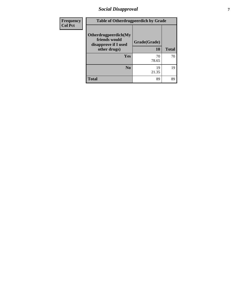### *Social Disapproval* **7**

| Frequency      | <b>Table of Otherdrugpeerdich by Grade</b>                                    |                    |              |  |  |
|----------------|-------------------------------------------------------------------------------|--------------------|--------------|--|--|
| <b>Col Pct</b> | Otherdrugpeerdich(My<br>friends would<br>disapprove if I used<br>other drugs) | Grade(Grade)<br>10 | <b>Total</b> |  |  |
|                | <b>Yes</b>                                                                    | 70<br>78.65        | 70           |  |  |
|                | N <sub>0</sub>                                                                | 19<br>21.35        | 19           |  |  |
|                | <b>Total</b>                                                                  | 89                 | 89           |  |  |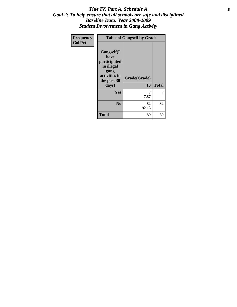#### Title IV, Part A, Schedule A **8** *Goal 2: To help ensure that all schools are safe and disciplined Baseline Data: Year 2008-2009 Student Involvement in Gang Activity*

| Frequency      | <b>Table of Gangself by Grade</b>                                                                 |                    |              |  |
|----------------|---------------------------------------------------------------------------------------------------|--------------------|--------------|--|
| <b>Col Pct</b> | Gangself(I<br>have<br>participated<br>in illegal<br>gang<br>activities in<br>the past 30<br>days) | Grade(Grade)<br>10 | <b>Total</b> |  |
|                | Yes                                                                                               | 7<br>7.87          | 7            |  |
|                | N <sub>0</sub>                                                                                    | 82<br>92.13        | 82           |  |
|                | <b>Total</b>                                                                                      | 89                 | 89           |  |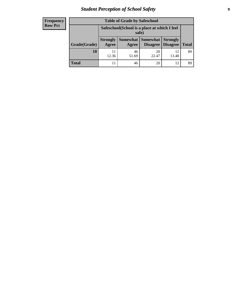# *Student Perception of School Safety* **9**

| <b>Frequency</b><br>Row Pct |
|-----------------------------|
|                             |

| <b>Table of Grade by Safeschool</b> |                                                        |             |                                   |                                    |              |
|-------------------------------------|--------------------------------------------------------|-------------|-----------------------------------|------------------------------------|--------------|
|                                     | Safeschool (School is a place at which I feel<br>safe) |             |                                   |                                    |              |
| Grade(Grade)                        | <b>Strongly</b><br>Agree                               | Agree       | Somewhat   Somewhat  <br>Disagree | <b>Strongly</b><br><b>Disagree</b> | <b>Total</b> |
| 10                                  | 12.36                                                  | 46<br>51.69 | 20<br>22.47                       | 12<br>13.48                        | 89           |
| <b>Total</b>                        |                                                        | 46          | 20                                | 12                                 | 89           |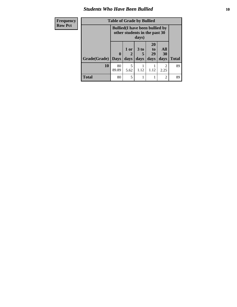#### *Students Who Have Been Bullied* **10**

| Frequency<br><b>Row Pct</b> | <b>Table of Grade by Bullied</b><br><b>Bullied</b> (I have been bullied by |             |                               |                      |                       |                        |              |
|-----------------------------|----------------------------------------------------------------------------|-------------|-------------------------------|----------------------|-----------------------|------------------------|--------------|
|                             |                                                                            |             | other students in the past 30 | days)                |                       |                        |              |
|                             |                                                                            | $\bf{0}$    | 1 or                          | 3 <sub>to</sub><br>5 | <b>20</b><br>to<br>29 | All<br>30              |              |
|                             | Grade(Grade)                                                               | <b>Days</b> | days                          | days                 | days                  | days                   | <b>Total</b> |
|                             | 10                                                                         | 80<br>89.89 | 5<br>5.62                     | 1.12                 | 1.12                  | $\overline{c}$<br>2.25 | 89           |
|                             | <b>Total</b>                                                               | 80          | 5                             |                      |                       | $\overline{c}$         | 89           |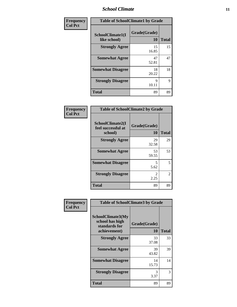#### *School Climate* **11**

| Frequency      | <b>Table of SchoolClimate1 by Grade</b> |                           |              |  |
|----------------|-----------------------------------------|---------------------------|--------------|--|
| <b>Col Pct</b> | SchoolClimate1(I<br>like school)        | Grade(Grade)<br><b>10</b> | <b>Total</b> |  |
|                | <b>Strongly Agree</b>                   | 15<br>16.85               | 15           |  |
|                | <b>Somewhat Agree</b>                   | 47<br>52.81               | 47           |  |
|                | <b>Somewhat Disagree</b>                | 18<br>20.22               | 18           |  |
|                | <b>Strongly Disagree</b>                | 9<br>10.11                | 9            |  |
|                | <b>Total</b>                            | 89                        | 89           |  |

| <b>Table of SchoolClimate2 by Grade</b>           |                                     |                             |  |
|---------------------------------------------------|-------------------------------------|-----------------------------|--|
| SchoolClimate2(I<br>feel successful at<br>school) | Grade(Grade)<br>10                  | <b>Total</b>                |  |
| <b>Strongly Agree</b>                             | 29<br>32.58                         | 29                          |  |
| <b>Somewhat Agree</b>                             | 53<br>59.55                         | 53                          |  |
| <b>Somewhat Disagree</b>                          | 5<br>5.62                           | 5                           |  |
| <b>Strongly Disagree</b>                          | $\mathcal{D}_{\mathcal{L}}$<br>2.25 | $\mathcal{D}_{\mathcal{L}}$ |  |
| <b>Total</b>                                      | 89                                  | 89                          |  |

| Frequency      | <b>Table of SchoolClimate3 by Grade</b>                               |                    |              |  |  |
|----------------|-----------------------------------------------------------------------|--------------------|--------------|--|--|
| <b>Col Pct</b> | SchoolClimate3(My<br>school has high<br>standards for<br>achievement) | Grade(Grade)<br>10 | <b>Total</b> |  |  |
|                | <b>Strongly Agree</b>                                                 | 33<br>37.08        | 33           |  |  |
|                | <b>Somewhat Agree</b>                                                 | 39<br>43.82        | 39           |  |  |
|                | <b>Somewhat Disagree</b>                                              | 14<br>15.73        | 14           |  |  |
|                | <b>Strongly Disagree</b>                                              | 3<br>3.37          | 3            |  |  |
|                | <b>Total</b>                                                          | 89                 | 89           |  |  |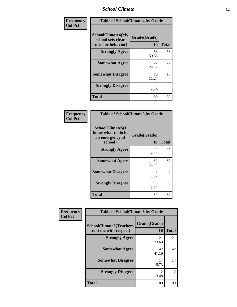#### *School Climate* **12**

| Frequency      | <b>Table of SchoolClimate4 by Grade</b>                              |                           |              |
|----------------|----------------------------------------------------------------------|---------------------------|--------------|
| <b>Col Pct</b> | <b>SchoolClimate4(My</b><br>school sets clear<br>rules for behavior) | Grade(Grade)<br><b>10</b> | <b>Total</b> |
|                | <b>Strongly Agree</b>                                                | 53<br>59.55               | 53           |
|                | <b>Somewhat Agree</b>                                                | 22<br>24.72               | 22           |
|                | <b>Somewhat Disagree</b>                                             | 10<br>11.24               | 10           |
|                | <b>Strongly Disagree</b>                                             | 4<br>4.49                 | 4            |
|                | <b>Total</b>                                                         | 89                        | 89           |

| <b>Table of SchoolClimate5 by Grade</b>                              |                    |       |
|----------------------------------------------------------------------|--------------------|-------|
| SchoolClimate5(I<br>know what to do in<br>an emergency at<br>school) | Grade(Grade)<br>10 | Total |
| <b>Strongly Agree</b>                                                | 44<br>49.44        | 44    |
| <b>Somewhat Agree</b>                                                | 32<br>35.96        | 32    |
| <b>Somewhat Disagree</b>                                             | 7.87               | 7     |
| <b>Strongly Disagree</b>                                             | 6<br>6.74          | 6     |
| Total                                                                | 89                 | 89    |

| Frequency      | <b>Table of SchoolClimate6 by Grade</b>                  |                    |              |
|----------------|----------------------------------------------------------|--------------------|--------------|
| <b>Col Pct</b> | <b>SchoolClimate6(Teachers</b><br>treat me with respect) | Grade(Grade)<br>10 | <b>Total</b> |
|                | <b>Strongly Agree</b>                                    | 21<br>23.60        | 21           |
|                | <b>Somewhat Agree</b>                                    | 42<br>47.19        | 42           |
|                | <b>Somewhat Disagree</b>                                 | 14<br>15.73        | 14           |
|                | <b>Strongly Disagree</b>                                 | 12<br>13.48        | 12           |
|                | Total                                                    | 89                 | 89           |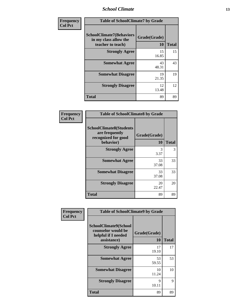*School Climate* **13**

| <b>Frequency</b> | <b>Table of SchoolClimate7 by Grade</b>                                       |                    |              |
|------------------|-------------------------------------------------------------------------------|--------------------|--------------|
| <b>Col Pct</b>   | <b>SchoolClimate7(Behaviors</b><br>in my class allow the<br>teacher to teach) | Grade(Grade)<br>10 | <b>Total</b> |
|                  | <b>Strongly Agree</b>                                                         | 15<br>16.85        | 15           |
|                  | <b>Somewhat Agree</b>                                                         | 43<br>48.31        | 43           |
|                  | <b>Somewhat Disagree</b>                                                      | 19<br>21.35        | 19           |
|                  | <b>Strongly Disagree</b>                                                      | 12<br>13.48        | 12           |
|                  | <b>Total</b>                                                                  | 89                 | 89           |

| Frequency      | <b>Table of SchoolClimate8 by Grade</b>                                              |                    |              |
|----------------|--------------------------------------------------------------------------------------|--------------------|--------------|
| <b>Col Pct</b> | <b>SchoolClimate8(Students</b><br>are frequently<br>recognized for good<br>behavior) | Grade(Grade)<br>10 | <b>Total</b> |
|                | <b>Strongly Agree</b>                                                                | 3<br>3.37          | 3            |
|                | <b>Somewhat Agree</b>                                                                | 33<br>37.08        | 33           |
|                | <b>Somewhat Disagree</b>                                                             | 33<br>37.08        | 33           |
|                | <b>Strongly Disagree</b>                                                             | 20<br>22.47        | 20           |
|                | <b>Total</b>                                                                         | 89                 | 89           |

| Frequency<br><b>Col Pct</b> | <b>Table of SchoolClimate9 by Grade</b>                                           |                           |              |
|-----------------------------|-----------------------------------------------------------------------------------|---------------------------|--------------|
|                             | SchoolClimate9(School<br>counselor would be<br>helpful if I needed<br>assistance) | Grade(Grade)<br><b>10</b> | <b>Total</b> |
|                             | <b>Strongly Agree</b>                                                             | 17<br>19.10               | 17           |
|                             | <b>Somewhat Agree</b>                                                             | 53<br>59.55               | 53           |
|                             | <b>Somewhat Disagree</b>                                                          | 10<br>11.24               | 10           |
|                             | <b>Strongly Disagree</b>                                                          | 9<br>10.11                | 9            |
|                             | <b>Total</b>                                                                      | 89                        | 89           |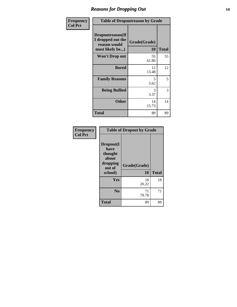### *Reasons for Dropping Out* **14**

| <b>Frequency</b> | <b>Table of Dropoutreason by Grade</b>                                   |                           |              |
|------------------|--------------------------------------------------------------------------|---------------------------|--------------|
| <b>Col Pct</b>   | Dropoutreason(If<br>I dropped out the<br>reason would<br>most likely be) | Grade(Grade)<br><b>10</b> | <b>Total</b> |
|                  | <b>Won't Drop out</b>                                                    | 55<br>61.80               | 55           |
|                  | <b>Bored</b>                                                             | 12<br>13.48               | 12           |
|                  | <b>Family Reasons</b>                                                    | 5<br>5.62                 | 5            |
|                  | <b>Being Bullied</b>                                                     | 3<br>3.37                 | 3            |
|                  | <b>Other</b>                                                             | 14<br>15.73               | 14           |
|                  | <b>Total</b>                                                             | 89                        | 89           |

| Frequency<br><b>Col Pct</b> | <b>Table of Dropout by Grade</b>                                       |                    |              |
|-----------------------------|------------------------------------------------------------------------|--------------------|--------------|
|                             | Dropout(I<br>have<br>thought<br>about<br>dropping<br>out of<br>school) | Grade(Grade)<br>10 | <b>Total</b> |
|                             | Yes                                                                    | 18<br>20.22        | 18           |
|                             | N <sub>0</sub>                                                         | 71<br>79.78        | 71           |
|                             | <b>Total</b>                                                           | 89                 | 89           |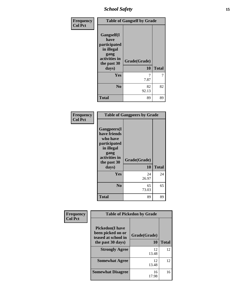# *School Safety* **15**

| Frequency      | <b>Table of Gangself by Grade</b>                                                        |              |              |
|----------------|------------------------------------------------------------------------------------------|--------------|--------------|
| <b>Col Pct</b> | Gangself(I<br>have<br>participated<br>in illegal<br>gang<br>activities in<br>the past 30 | Grade(Grade) |              |
|                | days)                                                                                    | 10           | <b>Total</b> |
|                | Yes                                                                                      | 7.87         | 7            |
|                | N <sub>0</sub>                                                                           | 82<br>92.13  | 82           |
|                | <b>Total</b>                                                                             | 89           | 89           |

| Frequency<br><b>Col Pct</b> | <b>Table of Gangpeers by Grade</b>                                                                                             |                    |              |
|-----------------------------|--------------------------------------------------------------------------------------------------------------------------------|--------------------|--------------|
|                             | <b>Gangpeers</b> (I<br>have friends<br>who have<br>participated<br>in illegal<br>gang<br>activities in<br>the past 30<br>days) | Grade(Grade)<br>10 | <b>Total</b> |
|                             | Yes                                                                                                                            | 24<br>26.97        | 24           |
|                             | N <sub>0</sub>                                                                                                                 | 65<br>73.03        | 65           |
|                             | Total                                                                                                                          | 89                 | 89           |

| Frequency      | <b>Table of Pickedon by Grade</b>                                   |              |              |
|----------------|---------------------------------------------------------------------|--------------|--------------|
| <b>Col Pct</b> | <b>Pickedon</b> (I have<br>been picked on or<br>teased at school in | Grade(Grade) |              |
|                | the past 30 days)                                                   | 10           | <b>Total</b> |
|                | <b>Strongly Agree</b>                                               | 12<br>13.48  | 12           |
|                | <b>Somewhat Agree</b>                                               | 12<br>13.48  | 12           |
|                | <b>Somewhat Disagree</b>                                            | 16<br>17.98  | 16           |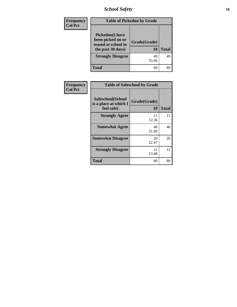*School Safety* **16**

| <b>Frequency</b> | <b>Table of Pickedon by Grade</b>                                                        |                    |              |
|------------------|------------------------------------------------------------------------------------------|--------------------|--------------|
| <b>Col Pct</b>   | <b>Pickedon</b> (I have<br>been picked on or<br>teased at school in<br>the past 30 days) | Grade(Grade)<br>10 | <b>Total</b> |
|                  | <b>Strongly Disagree</b>                                                                 | 49<br>55.06        | 49           |
|                  | <b>Total</b>                                                                             | 89                 | 89           |

| Frequency      |                                                          | <b>Table of Safeschool by Grade</b> |              |  |  |  |  |  |
|----------------|----------------------------------------------------------|-------------------------------------|--------------|--|--|--|--|--|
| <b>Col Pct</b> | Safeschool(School<br>is a place at which I<br>feel safe) | Grade(Grade)<br><b>10</b>           | <b>Total</b> |  |  |  |  |  |
|                | <b>Strongly Agree</b>                                    | 11<br>12.36                         | 11           |  |  |  |  |  |
|                | <b>Somewhat Agree</b>                                    | 46<br>51.69                         | 46           |  |  |  |  |  |
|                | <b>Somewhat Disagree</b>                                 | 20<br>22.47                         | 20           |  |  |  |  |  |
|                | <b>Strongly Disagree</b>                                 | 12<br>13.48                         | 12           |  |  |  |  |  |
|                | <b>Total</b>                                             | 89                                  | 89           |  |  |  |  |  |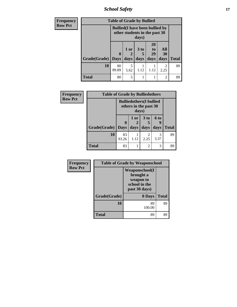*School Safety* **17**

| <b>Frequency</b> | <b>Table of Grade by Bullied</b>                                                 |              |                                                                           |      |      |                        |              |
|------------------|----------------------------------------------------------------------------------|--------------|---------------------------------------------------------------------------|------|------|------------------------|--------------|
| <b>Row Pct</b>   | <b>Bullied</b> (I have been bullied by<br>other students in the past 30<br>days) |              |                                                                           |      |      |                        |              |
|                  |                                                                                  | $\mathbf{0}$ | <b>20</b><br>3 <sub>to</sub><br>All<br>1 or<br>to<br>29<br><b>30</b><br>5 |      |      |                        |              |
|                  | Grade(Grade)   Days                                                              |              | days                                                                      | days | days | days                   | <b>Total</b> |
|                  | 10                                                                               | 80<br>89.89  | 5<br>5.62                                                                 | 1.12 | 1.12 | $\mathfrak{D}$<br>2.25 | 89           |
|                  | <b>Total</b>                                                                     | 80           | 5                                                                         | 1    |      | $\overline{2}$         | 89           |

| Frequency      |                     | <b>Table of Grade by Bulliedothers</b> |              |                                                          |                          |              |  |
|----------------|---------------------|----------------------------------------|--------------|----------------------------------------------------------|--------------------------|--------------|--|
| <b>Row Pct</b> |                     |                                        | days)        | <b>Bulliedothers</b> (I bullied<br>others in the past 30 |                          |              |  |
|                | Grade(Grade)   Days | $\boldsymbol{0}$                       | 1 or<br>days | 3 <sub>to</sub><br>days                                  | <b>6 to</b><br>q<br>days | <b>Total</b> |  |
|                | 10                  | 83<br>93.26                            | 1.12         | 2<br>2.25                                                | 3<br>3.37                | 89           |  |
|                | <b>Total</b>        | 83                                     |              | $\mathfrak{D}$                                           | 3                        | 89           |  |

| Frequency      |              | <b>Table of Grade by Weaponschool</b>                                              |              |
|----------------|--------------|------------------------------------------------------------------------------------|--------------|
| <b>Row Pct</b> |              | <b>Weaponschool</b> (I<br>brought a<br>weapon to<br>school in the<br>past 30 days) |              |
|                | Grade(Grade) | 0 Days                                                                             | <b>Total</b> |
|                | 10           | 89<br>100.00                                                                       | 89           |
|                | <b>Total</b> | 89                                                                                 | 89           |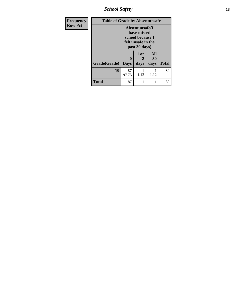*School Safety* **18**

| <b>Frequency</b> | <b>Table of Grade by Absentunsafe</b> |                     |                                                                                           |           |              |
|------------------|---------------------------------------|---------------------|-------------------------------------------------------------------------------------------|-----------|--------------|
| <b>Row Pct</b>   |                                       |                     | Absentunsafe(I)<br>have missed<br>school because I<br>felt unsafe in the<br>past 30 days) |           |              |
|                  |                                       | 0                   | 1 or<br>2                                                                                 | All<br>30 |              |
|                  | <b>Grade</b> (Grade)                  | days<br><b>Days</b> |                                                                                           | days      | <b>Total</b> |
|                  | 10                                    | 87<br>97.75         | 1.12                                                                                      | 1.12      | 89           |
|                  | <b>Total</b>                          | 87                  |                                                                                           |           | 89           |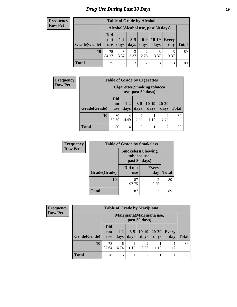### *Drug Use During Last 30 Days* **19**

#### **Frequency Row Pct**

| <b>Table of Grade by Alcohol</b>                                                                                                                                 |             |                                     |           |      |      |      |    |  |  |  |  |  |  |
|------------------------------------------------------------------------------------------------------------------------------------------------------------------|-------------|-------------------------------------|-----------|------|------|------|----|--|--|--|--|--|--|
|                                                                                                                                                                  |             | Alcohol (Alcohol use, past 30 days) |           |      |      |      |    |  |  |  |  |  |  |
| <b>Did</b><br>$10-19$<br>$6-9$<br>$1 - 2$<br>$3 - 5$<br><b>Every</b><br>not<br>Grade(Grade)<br>days<br>days<br>days<br>day<br><b>Total</b><br>days<br><b>use</b> |             |                                     |           |      |      |      |    |  |  |  |  |  |  |
| <b>10</b>                                                                                                                                                        | 75<br>84.27 | 3<br>3.37                           | 3<br>3.37 | 2.25 | 3.37 | 3.37 | 89 |  |  |  |  |  |  |
| <b>Total</b>                                                                                                                                                     | 75          | 3                                   | 3         | 2    | 3    | 3    |    |  |  |  |  |  |  |

| <b>Frequency</b> | <b>Table of Grade by Cigarettes</b> |                          |               |                 |                                                          |                   |              |
|------------------|-------------------------------------|--------------------------|---------------|-----------------|----------------------------------------------------------|-------------------|--------------|
| <b>Row Pct</b>   |                                     |                          |               |                 | <b>Cigarettes (Smoking tobacco</b><br>use, past 30 days) |                   |              |
|                  | Grade(Grade)                        | Did<br>not<br><b>use</b> | $1-2$<br>days | $3 - 5$<br>days | $ 10-19$<br>days                                         | $20 - 29$<br>days | <b>Total</b> |
|                  | 10                                  | 80<br>89.89              | 4<br>4.49     | 2<br>2.25       | 1.12                                                     | ∍<br>2.25         | 89           |
|                  | <b>Total</b>                        | 80                       | 4             | $\overline{2}$  |                                                          | $\overline{2}$    | 89           |

| <b>Frequency</b> |              | <b>Table of Grade by Smokeless</b> |                           |              |
|------------------|--------------|------------------------------------|---------------------------|--------------|
| <b>Row Pct</b>   |              | tobacco use,<br>past 30 days)      | <b>Smokeless</b> (Chewing |              |
|                  | Grade(Grade) | Did not<br><b>use</b>              | <b>Every</b><br>day       | <b>Total</b> |
|                  | 10           | 87<br>97.75                        | 2<br>2.25                 | 89           |
|                  | <b>Total</b> | 87                                 | 2                         | 89           |

| Frequency      |              |                                 |                                            |      | <b>Table of Grade by Marijuana</b> |                   |                     |              |
|----------------|--------------|---------------------------------|--------------------------------------------|------|------------------------------------|-------------------|---------------------|--------------|
| <b>Row Pct</b> |              |                                 | Marijuana (Marijuana use,<br>past 30 days) |      |                                    |                   |                     |              |
|                | Grade(Grade) | <b>Did</b><br>not<br><b>use</b> | $1-2$<br>days                              | days | $3-5 \mid 10-19$<br>days           | $20 - 29$<br>days | <b>Every</b><br>day | <b>Total</b> |
|                | <b>10</b>    | 78<br>87.64                     | 6<br>6.74                                  | 1.12 | ∍<br>2.25                          | 1.12              | 1.12                | 89           |
|                | <b>Total</b> | 78                              | 6                                          |      | $\overline{2}$                     |                   |                     | 89           |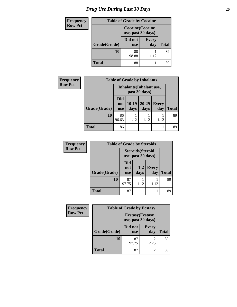# *Drug Use During Last 30 Days* 20

| <b>Frequency</b> |              | <b>Table of Grade by Cocaine</b>              |                     |    |
|------------------|--------------|-----------------------------------------------|---------------------|----|
| <b>Row Pct</b>   |              | <b>Cocaine</b> (Cocaine<br>use, past 30 days) |                     |    |
|                  | Grade(Grade) | Did not<br><b>use</b>                         | <b>Every</b><br>day |    |
|                  | 10           | 88<br>98.88<br>1.12                           |                     | 89 |
|                  | <b>Total</b> | 88                                            |                     | 89 |

| <b>Frequency</b> | <b>Table of Grade by Inhalants</b> |                          |                 |                                                  |                     |              |
|------------------|------------------------------------|--------------------------|-----------------|--------------------------------------------------|---------------------|--------------|
| <b>Row Pct</b>   |                                    |                          |                 | <b>Inhalants</b> (Inhalant use,<br>past 30 days) |                     |              |
|                  | Grade(Grade)                       | Did<br>not<br><b>use</b> | $10-19$<br>days | $20 - 29$<br>days                                | <b>Every</b><br>day | <b>Total</b> |
|                  | <b>10</b>                          | 86<br>96.63              | 1.12            | 1.12                                             | 1.12                | 89           |
|                  | <b>Total</b>                       | 86                       | 1               |                                                  |                     | 89           |

| <b>Frequency</b> | <b>Table of Grade by Steroids</b> |                          |                                                |                     |              |  |
|------------------|-----------------------------------|--------------------------|------------------------------------------------|---------------------|--------------|--|
| <b>Row Pct</b>   |                                   |                          | <b>Steroids</b> (Steroid<br>use, past 30 days) |                     |              |  |
|                  | Grade(Grade)                      | Did<br>not<br><b>use</b> | $1-2$<br>days                                  | <b>Every</b><br>day | <b>Total</b> |  |
|                  | 10                                | 87<br>97.75              | 1.12                                           | 1.12                | 89           |  |
|                  | Total                             | 87                       |                                                |                     | 89           |  |

| Frequency      | <b>Table of Grade by Ecstasy</b> |                                               |                     |              |
|----------------|----------------------------------|-----------------------------------------------|---------------------|--------------|
| <b>Row Pct</b> |                                  | <b>Ecstasy</b> (Ecstasy<br>use, past 30 days) |                     |              |
|                | Grade(Grade)                     | Did not<br><b>use</b>                         | <b>Every</b><br>day | <b>Total</b> |
|                | 10                               | 87<br>97.75                                   | 2<br>2.25           | 89           |
|                | <b>Total</b>                     | 87                                            | 2                   | 89           |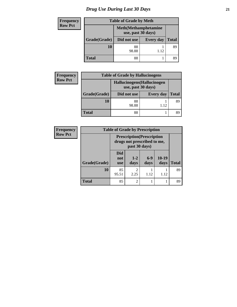# *Drug Use During Last 30 Days* **21**

| <b>Frequency</b> | <b>Table of Grade by Meth</b>                      |             |                  |              |
|------------------|----------------------------------------------------|-------------|------------------|--------------|
| <b>Row Pct</b>   | <b>Meth</b> (Methamphetamine<br>use, past 30 days) |             |                  |              |
|                  | Grade(Grade)                                       | Did not use | <b>Every day</b> | <b>Total</b> |
|                  | 10                                                 | 88<br>98.88 | 1.12             | 89           |
|                  | <b>Total</b>                                       | 88          |                  | 89           |

| Frequency      | <b>Table of Grade by Hallucinogens</b> |                                                   |                  |              |  |
|----------------|----------------------------------------|---------------------------------------------------|------------------|--------------|--|
| <b>Row Pct</b> |                                        | Hallucinogens (Hallucinogen<br>use, past 30 days) |                  |              |  |
|                | Grade(Grade)                           | Did not use                                       | <b>Every day</b> | <b>Total</b> |  |
|                | 10                                     | 88<br>98.88                                       | 1.12             | 89           |  |
|                | <b>Total</b>                           | 88                                                |                  |              |  |

| <b>Frequency</b> | <b>Table of Grade by Prescription</b> |                                 |                        |                                                                  |                 |              |
|------------------|---------------------------------------|---------------------------------|------------------------|------------------------------------------------------------------|-----------------|--------------|
| <b>Row Pct</b>   |                                       |                                 | past 30 days)          | <b>Prescription</b> (Prescription<br>drugs not prescribed to me, |                 |              |
|                  | Grade(Grade)                          | <b>Did</b><br>not<br><b>use</b> | $1 - 2$<br>days        | $6-9$<br>days                                                    | $10-19$<br>days | <b>Total</b> |
|                  | 10                                    | 85<br>95.51                     | $\overline{2}$<br>2.25 | 1.12                                                             | 1.12            | 89           |
|                  | <b>Total</b>                          | 85                              | $\overline{c}$         |                                                                  |                 | 89           |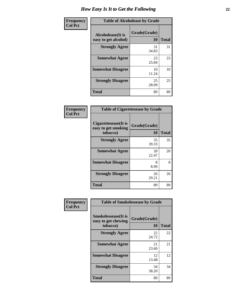| Frequency      | <b>Table of Alcoholease by Grade</b>              |                    |              |  |
|----------------|---------------------------------------------------|--------------------|--------------|--|
| <b>Col Pct</b> | <b>Alcoholease</b> (It is<br>easy to get alcohol) | Grade(Grade)<br>10 | <b>Total</b> |  |
|                | <b>Strongly Agree</b>                             | 31<br>34.83        | 31           |  |
|                | <b>Somewhat Agree</b>                             | 23<br>25.84        | 23           |  |
|                | <b>Somewhat Disagree</b>                          | 10<br>11.24        | 10           |  |
|                | <b>Strongly Disagree</b>                          | 25<br>28.09        | 25           |  |
|                | <b>Total</b>                                      | 89                 | 89           |  |

| Frequency<br>Col Pct |
|----------------------|
|                      |

|                                                         | <b>Table of Cigarettesease by Grade</b> |              |  |  |
|---------------------------------------------------------|-----------------------------------------|--------------|--|--|
| Cigarettesease(It is<br>easy to get smoking<br>tobacco) | Grade(Grade)<br>10                      | <b>Total</b> |  |  |
| <b>Strongly Agree</b>                                   | 35<br>39.33                             | 35           |  |  |
| <b>Somewhat Agree</b>                                   | 20<br>22.47                             | 20           |  |  |
| <b>Somewhat Disagree</b>                                | 8<br>8.99                               | 8            |  |  |
| <b>Strongly Disagree</b>                                | 26<br>29.21                             | 26           |  |  |
| Total                                                   | 89                                      | 89           |  |  |

| Frequency      | <b>Table of Smokelessease by Grade</b>             |              |              |  |
|----------------|----------------------------------------------------|--------------|--------------|--|
| <b>Col Pct</b> | <b>Smokelessease</b> (It is<br>easy to get chewing | Grade(Grade) |              |  |
|                | tobacco)                                           | 10           | <b>Total</b> |  |
|                | <b>Strongly Agree</b>                              | 22<br>24.72  | 22           |  |
|                | <b>Somewhat Agree</b>                              | 21<br>23.60  | 21           |  |
|                | <b>Somewhat Disagree</b>                           | 12<br>13.48  | 12           |  |
|                | <b>Strongly Disagree</b>                           | 34<br>38.20  | 34           |  |
|                | <b>Total</b>                                       | 89           | 89           |  |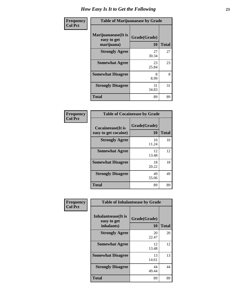| Frequency<br><b>Col Pct</b> | <b>Table of Marijuanaease by Grade</b>           |                    |              |  |
|-----------------------------|--------------------------------------------------|--------------------|--------------|--|
|                             | Marijuanaease(It is<br>easy to get<br>marijuana) | Grade(Grade)<br>10 | <b>Total</b> |  |
|                             | <b>Strongly Agree</b>                            | 27<br>30.34        | 27           |  |
|                             | <b>Somewhat Agree</b>                            | 23<br>25.84        | 23           |  |
|                             | <b>Somewhat Disagree</b>                         | 8<br>8.99          | 8            |  |
|                             | <b>Strongly Disagree</b>                         | 31<br>34.83        | 31           |  |
|                             | <b>Total</b>                                     | 89                 | 89           |  |

| <b>Table of Cocaineease by Grade</b> |              |       |  |
|--------------------------------------|--------------|-------|--|
| <b>Cocaineease</b> (It is            | Grade(Grade) |       |  |
| easy to get cocaine)                 | 10           | Total |  |
| <b>Strongly Agree</b>                | 10<br>11.24  | 10    |  |
| <b>Somewhat Agree</b>                | 12<br>13.48  | 12    |  |
| <b>Somewhat Disagree</b>             | 18<br>20.22  | 18    |  |
| <b>Strongly Disagree</b>             | 49<br>55.06  | 49    |  |
| <b>Total</b>                         | 89           | 89    |  |

| Frequency      | <b>Table of Inhalantsease by Grade</b>                   |                           |              |  |
|----------------|----------------------------------------------------------|---------------------------|--------------|--|
| <b>Col Pct</b> | <b>Inhalantsease</b> (It is<br>easy to get<br>inhalants) | Grade(Grade)<br><b>10</b> | <b>Total</b> |  |
|                | <b>Strongly Agree</b>                                    | 20<br>22.47               | 20           |  |
|                | <b>Somewhat Agree</b>                                    | 12<br>13.48               | 12           |  |
|                | <b>Somewhat Disagree</b>                                 | 13<br>14.61               | 13           |  |
|                | <b>Strongly Disagree</b>                                 | 44<br>49.44               | 44           |  |
|                | <b>Total</b>                                             | 89                        | 89           |  |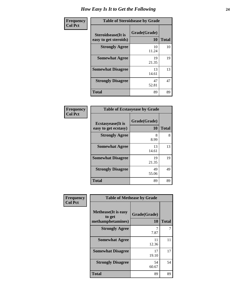| Frequency      | <b>Table of Steroidsease by Grade</b>               |                    |              |  |
|----------------|-----------------------------------------------------|--------------------|--------------|--|
| <b>Col Pct</b> | <b>Steroidsease</b> (It is<br>easy to get steroids) | Grade(Grade)<br>10 | <b>Total</b> |  |
|                | <b>Strongly Agree</b>                               | 10<br>11.24        | 10           |  |
|                | <b>Somewhat Agree</b>                               | 19<br>21.35        | 19           |  |
|                | <b>Somewhat Disagree</b>                            | 13<br>14.61        | 13           |  |
|                | <b>Strongly Disagree</b>                            | 47<br>52.81        | 47           |  |
|                | <b>Total</b>                                        | 89                 | 89           |  |

| <b>Frequency</b> |
|------------------|
| Col Pct          |

| <b>Table of Ecstasyease by Grade</b> |              |              |  |  |  |  |
|--------------------------------------|--------------|--------------|--|--|--|--|
| <b>Ecstasyease</b> (It is            | Grade(Grade) |              |  |  |  |  |
| easy to get ecstasy)                 | 10           | <b>Total</b> |  |  |  |  |
| <b>Strongly Agree</b>                | 8<br>8.99    | 8            |  |  |  |  |
| <b>Somewhat Agree</b>                | 13<br>14.61  | 13           |  |  |  |  |
| <b>Somewhat Disagree</b>             | 19<br>21.35  | 19           |  |  |  |  |
| <b>Strongly Disagree</b>             | 49<br>55.06  | 49           |  |  |  |  |
| <b>Total</b>                         | 89           | 89           |  |  |  |  |

| <b>Frequency</b> |  |
|------------------|--|
| <b>Col Pct</b>   |  |

| <b>Table of Methease by Grade</b>                          |                    |              |  |  |  |  |  |
|------------------------------------------------------------|--------------------|--------------|--|--|--|--|--|
| <b>Methease</b> (It is easy<br>to get<br>methamphetamines) | Grade(Grade)<br>10 | <b>Total</b> |  |  |  |  |  |
| <b>Strongly Agree</b>                                      | 7<br>7.87          | 7            |  |  |  |  |  |
| <b>Somewhat Agree</b>                                      | 11<br>12.36        | 11           |  |  |  |  |  |
| <b>Somewhat Disagree</b>                                   | 17<br>19.10        | 17           |  |  |  |  |  |
| <b>Strongly Disagree</b>                                   | 54<br>60.67        | 54           |  |  |  |  |  |
| Total                                                      | 89                 | 89           |  |  |  |  |  |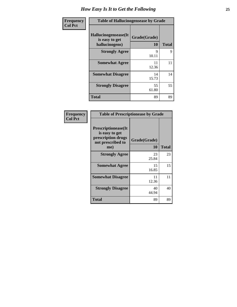| Frequency      | <b>Table of Hallucinogensease by Grade</b>               |                    |              |  |  |  |  |  |
|----------------|----------------------------------------------------------|--------------------|--------------|--|--|--|--|--|
| <b>Col Pct</b> | Hallucinogensease(It<br>is easy to get<br>hallucinogens) | Grade(Grade)<br>10 | <b>Total</b> |  |  |  |  |  |
|                | <b>Strongly Agree</b>                                    | 9<br>10.11         | 9            |  |  |  |  |  |
|                | <b>Somewhat Agree</b>                                    | 11<br>12.36        | 11           |  |  |  |  |  |
|                | <b>Somewhat Disagree</b>                                 | 14<br>15.73        | 14           |  |  |  |  |  |
|                | <b>Strongly Disagree</b>                                 | 55<br>61.80        | 55           |  |  |  |  |  |
|                | <b>Total</b>                                             | 89                 | 89           |  |  |  |  |  |

| <b>Table of Prescriptionease by Grade</b>                                                |              |       |  |  |  |  |  |
|------------------------------------------------------------------------------------------|--------------|-------|--|--|--|--|--|
| <b>Prescriptionease</b> (It<br>is easy to get<br>prescription drugs<br>not prescribed to | Grade(Grade) |       |  |  |  |  |  |
| me)                                                                                      | 10           | Total |  |  |  |  |  |
| <b>Strongly Agree</b>                                                                    | 23<br>25.84  | 23    |  |  |  |  |  |
| <b>Somewhat Agree</b>                                                                    | 15<br>16.85  | 15    |  |  |  |  |  |
| <b>Somewhat Disagree</b>                                                                 | 11<br>12.36  | 11    |  |  |  |  |  |
| <b>Strongly Disagree</b>                                                                 | 40<br>44.94  | 40    |  |  |  |  |  |
| Total                                                                                    | 89           | 89    |  |  |  |  |  |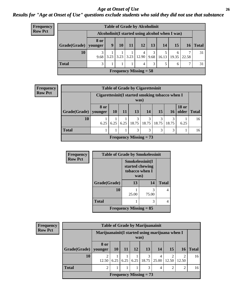#### *Age at Onset of Use* **26** *Results for "Age at Onset of Use" questions exclude students who said they did not use that substance*

| <b>Frequency</b> |
|------------------|
| <b>Row Pct</b>   |

| $\mathbf{y}$ | <b>Table of Grade by Alcoholinit</b> |                 |                                                  |           |      |                    |           |           |            |       |          |
|--------------|--------------------------------------|-----------------|--------------------------------------------------|-----------|------|--------------------|-----------|-----------|------------|-------|----------|
|              |                                      |                 | Alcoholinit (I started using alcohol when I was) |           |      |                    |           |           |            |       |          |
|              | Grade(Grade)                         | 8 or<br>younger | 9                                                | <b>10</b> | 11   | <b>12</b>          | 13        | <b>14</b> | <b>15</b>  |       | 16 Total |
|              | 10                                   | 3<br>9.68       | 3.23                                             | 3.23      | 3.23 | 4<br>$12.90 \perp$ | 3<br>9.68 | 16.13     | 6<br>19.35 | 22.58 | 31       |
|              | <b>Total</b>                         | $\mathcal{R}$   |                                                  |           |      | 4                  | 3         | 5         | 6          | ⇁     | 31       |
|              | <b>Frequency Missing = 58</b>        |                 |                                                  |           |      |                    |           |           |            |       |          |

| <b>Frequency</b> |                        |      | <b>Table of Grade by Cigarettesinit</b>                  |      |            |                          |            |            |                       |              |
|------------------|------------------------|------|----------------------------------------------------------|------|------------|--------------------------|------------|------------|-----------------------|--------------|
| <b>Row Pct</b>   |                        |      | Cigarettesinit (I started smoking tobacco when I<br>was) |      |            |                          |            |            |                       |              |
|                  | $Grade(Grade)$ younger | 8 or | 10 <sup>1</sup>                                          | 11   | 13         | <b>14</b>                | 15         | 16         | <b>18 or</b><br>older | <b>Total</b> |
|                  | 10                     | 6.25 | 6.25                                                     | 6.25 | 3<br>18.75 | 3<br> 18.75              | 3<br>18.75 | 3<br>18.75 | 6.25                  | 16           |
|                  | <b>Total</b>           |      |                                                          |      | 3          | 3                        | 3          | 3          |                       | 16           |
|                  |                        |      |                                                          |      |            | Frequency Missing $= 73$ |            |            |                       |              |

| <b>Frequency</b> | <b>Table of Grade by Smokelessinit</b> |                                                              |            |              |  |  |  |  |
|------------------|----------------------------------------|--------------------------------------------------------------|------------|--------------|--|--|--|--|
| <b>Row Pct</b>   |                                        | Smokelessinit(I<br>started chewing<br>tobacco when I<br>was) |            |              |  |  |  |  |
|                  | Grade(Grade)                           | 14<br>13                                                     |            | <b>Total</b> |  |  |  |  |
|                  | 10                                     | 25.00                                                        | 3<br>75.00 | 4            |  |  |  |  |
|                  | <b>Total</b>                           |                                                              | 3          | 4            |  |  |  |  |
|                  | <b>Frequency Missing = 85</b>          |                                                              |            |              |  |  |  |  |

| Frequency      |                        |                                                         |           |      |    | <b>Table of Grade by Marijuanainit</b> |                |                 |            |              |
|----------------|------------------------|---------------------------------------------------------|-----------|------|----|----------------------------------------|----------------|-----------------|------------|--------------|
| <b>Row Pct</b> |                        | Marijuanainit (I started using marijuana when I<br>was) |           |      |    |                                        |                |                 |            |              |
|                | Grade(Grade)   younger | 8 or                                                    | <b>10</b> | 11   | 12 | <b>13</b>                              | 14             | 15 <sup>1</sup> | 16         | <b>Total</b> |
|                | 10                     | 12.50                                                   | 6.25      | 6.25 |    | 3<br>$6.25$   18.75                    | 4<br>25.00     | 12.50           | 2<br>12.50 | 16           |
|                | <b>Total</b>           | 2                                                       |           |      |    | 3                                      | $\overline{4}$ | $\overline{2}$  | 2          | 16           |
|                |                        |                                                         |           |      |    | Frequency Missing $= 73$               |                |                 |            |              |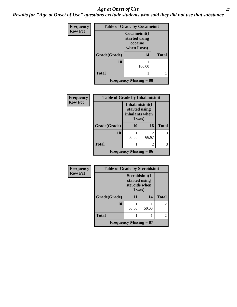#### *Age at Onset of Use* **27**

*Results for "Age at Onset of Use" questions exclude students who said they did not use that substance*

| Frequency      | <b>Table of Grade by Cocaineinit</b> |                                                          |              |  |  |  |  |
|----------------|--------------------------------------|----------------------------------------------------------|--------------|--|--|--|--|
| <b>Row Pct</b> |                                      | Cocaineinit(I<br>started using<br>cocaine<br>when I was) |              |  |  |  |  |
|                | Grade(Grade)                         | 14                                                       | <b>Total</b> |  |  |  |  |
|                | 10                                   | 100.00                                                   |              |  |  |  |  |
|                | <b>Total</b>                         |                                                          |              |  |  |  |  |
|                | <b>Frequency Missing = 88</b>        |                                                          |              |  |  |  |  |

| <b>Frequency</b> | <b>Table of Grade by Inhalantsinit</b> |                                                              |                         |              |
|------------------|----------------------------------------|--------------------------------------------------------------|-------------------------|--------------|
| <b>Row Pct</b>   |                                        | Inhalantsinit(I<br>started using<br>inhalants when<br>I was) |                         |              |
|                  | Grade(Grade)                           | 10                                                           | <b>16</b>               | <b>Total</b> |
|                  | 10                                     | 33.33                                                        | $\mathfrak{D}$<br>66.67 |              |
|                  | <b>Total</b>                           |                                                              | 2                       | 3            |
|                  |                                        | Frequency Missing $= 86$                                     |                         |              |

| <b>Frequency</b> | <b>Table of Grade by Steroidsinit</b> |                                                            |       |                |
|------------------|---------------------------------------|------------------------------------------------------------|-------|----------------|
| <b>Row Pct</b>   |                                       | Steroidsinit(I<br>started using<br>steroids when<br>I was) |       |                |
|                  | Grade(Grade)                          | 11                                                         | 14    | <b>Total</b>   |
|                  | 10                                    | 50.00                                                      | 50.00 | $\mathfrak{D}$ |
|                  | <b>Total</b>                          |                                                            |       | 2              |
|                  |                                       | <b>Frequency Missing = 87</b>                              |       |                |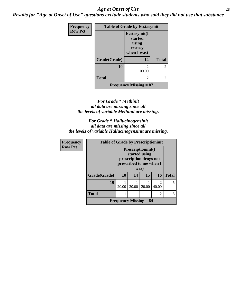#### *Age at Onset of Use* **28**

*Results for "Age at Onset of Use" questions exclude students who said they did not use that substance*

| Frequency      | <b>Table of Grade by Ecstasyinit</b> |                                                             |                |  |
|----------------|--------------------------------------|-------------------------------------------------------------|----------------|--|
| <b>Row Pct</b> |                                      | Ecstasyinit(I<br>started<br>using<br>ecstasy<br>when I was) |                |  |
|                | Grade(Grade)                         | 14                                                          | <b>Total</b>   |  |
|                | 10                                   | $\mathfrak{D}$<br>100.00                                    | $\overline{2}$ |  |
|                | <b>Total</b>                         | $\overline{2}$                                              | $\overline{2}$ |  |
|                |                                      | <b>Frequency Missing = 87</b>                               |                |  |

#### *For Grade \* Methinit all data are missing since all the levels of variable Methinit are missing.*

*For Grade \* Hallucinogensinit all data are missing since all the levels of variable Hallucinogensinit are missing.*

| Frequency      | <b>Table of Grade by Prescriptioninit</b> |                                                                                                  |       |       |                         |              |
|----------------|-------------------------------------------|--------------------------------------------------------------------------------------------------|-------|-------|-------------------------|--------------|
| <b>Row Pct</b> |                                           | Prescriptioninit(I<br>started using<br>prescription drugs not<br>prescribed to me when I<br>was) |       |       |                         |              |
|                | Grade(Grade)                              | <b>10</b>                                                                                        | 14    | 15    | 16                      | <b>Total</b> |
|                | 10                                        | 20.00                                                                                            | 20.00 | 20.00 | $\mathfrak{D}$<br>40.00 | 5            |
|                | <b>Total</b>                              |                                                                                                  |       |       | 2                       | 5            |
|                |                                           | <b>Frequency Missing <math>= 84</math></b>                                                       |       |       |                         |              |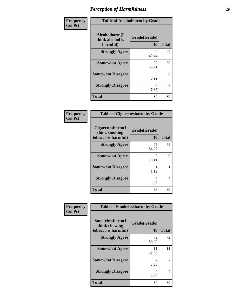| Frequency      | <b>Table of Alcoholharm by Grade</b>          |                           |              |  |
|----------------|-----------------------------------------------|---------------------------|--------------|--|
| <b>Col Pct</b> | Alcoholharm(I<br>think alcohol is<br>harmful) | Grade(Grade)<br><b>10</b> | <b>Total</b> |  |
|                | <b>Strongly Agree</b>                         | 44<br>49.44               | 44           |  |
|                | <b>Somewhat Agree</b>                         | 30<br>33.71               | 30           |  |
|                | <b>Somewhat Disagree</b>                      | 8<br>8.99                 | 8            |  |
|                | <b>Strongly Disagree</b>                      | 7.87                      | 7            |  |
|                | <b>Total</b>                                  | 89                        | 89           |  |

| <b>Table of Cigarettesharm by Grade</b>                  |                    |              |  |
|----------------------------------------------------------|--------------------|--------------|--|
| Cigarettesharm(I<br>think smoking<br>tobacco is harmful) | Grade(Grade)<br>10 | <b>Total</b> |  |
| <b>Strongly Agree</b>                                    | 75<br>84.27        | 75           |  |
| <b>Somewhat Agree</b>                                    | 9<br>10.11         | 9            |  |
| <b>Somewhat Disagree</b>                                 | 1.12               |              |  |
| <b>Strongly Disagree</b>                                 | 4<br>4.49          | 4            |  |
| Total                                                    | 89                 | 89           |  |

| Frequency      | <b>Table of Smokelessharm by Grade</b>                  |                           |                |
|----------------|---------------------------------------------------------|---------------------------|----------------|
| <b>Col Pct</b> | Smokelessharm(I<br>think chewing<br>tobacco is harmful) | Grade(Grade)<br><b>10</b> | <b>Total</b>   |
|                | <b>Strongly Agree</b>                                   | 72<br>80.90               | 72             |
|                | <b>Somewhat Agree</b>                                   | 11<br>12.36               | 11             |
|                | <b>Somewhat Disagree</b>                                | 2<br>2.25                 | $\mathfrak{D}$ |
|                | <b>Strongly Disagree</b>                                | 4<br>4.49                 | 4              |
|                | <b>Total</b>                                            | 89                        | 89             |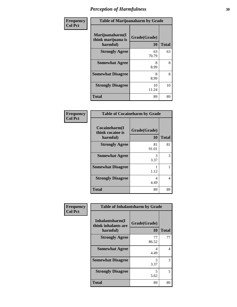| Frequency      | <b>Table of Marijuanaharm by Grade</b>            |                    |              |  |
|----------------|---------------------------------------------------|--------------------|--------------|--|
| <b>Col Pct</b> | Marijuanaharm(I<br>think marijuana is<br>harmful) | Grade(Grade)<br>10 | <b>Total</b> |  |
|                | <b>Strongly Agree</b>                             | 63<br>70.79        | 63           |  |
|                | <b>Somewhat Agree</b>                             | 8<br>8.99          | 8            |  |
|                | <b>Somewhat Disagree</b>                          | 8<br>8.99          | 8            |  |
|                | <b>Strongly Disagree</b>                          | 10<br>11.24        | 10           |  |
|                | <b>Total</b>                                      | 89                 | 89           |  |

| <b>Table of Cocaineharm by Grade</b>          |                    |              |  |
|-----------------------------------------------|--------------------|--------------|--|
| Cocaineharm(I<br>think cocaine is<br>harmful) | Grade(Grade)<br>10 | <b>Total</b> |  |
| <b>Strongly Agree</b>                         | 81<br>91.01        | 81           |  |
| <b>Somewhat Agree</b>                         | 3<br>3.37          | 3            |  |
| <b>Somewhat Disagree</b>                      | 1<br>1.12          |              |  |
| <b>Strongly Disagree</b>                      | 4<br>4.49          | 4            |  |
| <b>Total</b>                                  | 89                 | 89           |  |

| Frequency      | <b>Table of Inhalantsharm by Grade</b>             |                    |              |
|----------------|----------------------------------------------------|--------------------|--------------|
| <b>Col Pct</b> | Inhalantsharm(I<br>think inhalants are<br>harmful) | Grade(Grade)<br>10 | <b>Total</b> |
|                | <b>Strongly Agree</b>                              | 77<br>86.52        | 77           |
|                | <b>Somewhat Agree</b>                              | 4<br>4.49          | 4            |
|                | <b>Somewhat Disagree</b>                           | 3<br>3.37          | 3            |
|                | <b>Strongly Disagree</b>                           | 5<br>5.62          | 5.           |
|                | <b>Total</b>                                       | 89                 | 89           |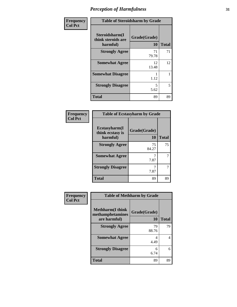| Frequency      | <b>Table of Steroidsharm by Grade</b>            |                    |              |
|----------------|--------------------------------------------------|--------------------|--------------|
| <b>Col Pct</b> | Steroidsharm(I<br>think steroids are<br>harmful) | Grade(Grade)<br>10 | <b>Total</b> |
|                | <b>Strongly Agree</b>                            | 71<br>79.78        | 71           |
|                | <b>Somewhat Agree</b>                            | 12<br>13.48        | 12           |
|                | <b>Somewhat Disagree</b>                         | 1.12               | 1            |
|                | <b>Strongly Disagree</b>                         | 5<br>5.62          | 5            |
|                | <b>Total</b>                                     | 89                 | 89           |

#### **Frequency Col Pct**

| <b>Table of Ecstasyharm by Grade</b> |              |              |  |
|--------------------------------------|--------------|--------------|--|
| Ecstasyharm(I<br>think ecstasy is    | Grade(Grade) |              |  |
| harmful)                             | 10           | <b>Total</b> |  |
| <b>Strongly Agree</b>                | 75<br>84.27  | 75           |  |
| <b>Somewhat Agree</b>                | 7.87         |              |  |
| <b>Strongly Disagree</b>             | 7.87         |              |  |
| <b>Total</b>                         | 89           | 89           |  |

| <b>Table of Methharm by Grade</b>                            |                    |              |
|--------------------------------------------------------------|--------------------|--------------|
| <b>Methharm</b> (I think<br>methamphetamines<br>are harmful) | Grade(Grade)<br>10 | <b>Total</b> |
| <b>Strongly Agree</b>                                        | 79<br>88.76        | 79           |
| <b>Somewhat Agree</b>                                        | 4.49               |              |
| <b>Strongly Disagree</b>                                     | 6<br>6.74          |              |
| Total                                                        | 89                 | 89           |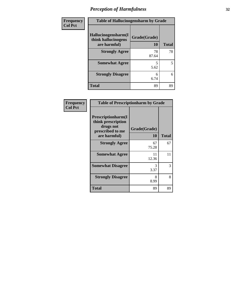| Frequency      |                                                            | <b>Table of Hallucinogensharm by Grade</b> |              |  |
|----------------|------------------------------------------------------------|--------------------------------------------|--------------|--|
| <b>Col Pct</b> | Hallucinogensharm(I<br>think hallucinogens<br>are harmful) | Grade(Grade)<br>10                         | <b>Total</b> |  |
|                | <b>Strongly Agree</b>                                      | 78<br>87.64                                | 78           |  |
|                | <b>Somewhat Agree</b>                                      | 5.62                                       | 5            |  |
|                | <b>Strongly Disagree</b>                                   | 6<br>6.74                                  | 6            |  |
|                | <b>Total</b>                                               | 89                                         | 89           |  |

| Frequency      | <b>Table of Prescriptionharm by Grade</b>                                                 |                    |              |
|----------------|-------------------------------------------------------------------------------------------|--------------------|--------------|
| <b>Col Pct</b> | Prescriptionharm(I<br>think prescription<br>drugs not<br>prescribed to me<br>are harmful) | Grade(Grade)<br>10 | <b>Total</b> |
|                | <b>Strongly Agree</b>                                                                     | 67<br>75.28        | 67           |
|                | <b>Somewhat Agree</b>                                                                     | 11<br>12.36        | 11           |
|                | <b>Somewhat Disagree</b>                                                                  | 3<br>3.37          | 3            |
|                | <b>Strongly Disagree</b>                                                                  | 8<br>8.99          | 8            |
|                | <b>Total</b>                                                                              | 89                 | 89           |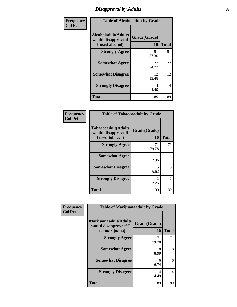### *Disapproval by Adults* **33**

| Frequency      |                                                                       | <b>Table of Alcoholadult by Grade</b> |              |
|----------------|-----------------------------------------------------------------------|---------------------------------------|--------------|
| <b>Col Pct</b> | <b>Alcoholadult</b> (Adults<br>would disapprove if<br>I used alcohol) | Grade(Grade)<br>10                    | <b>Total</b> |
|                | <b>Strongly Agree</b>                                                 | 51<br>57.30                           | 51           |
|                | <b>Somewhat Agree</b>                                                 | 22<br>24.72                           | 22           |
|                | <b>Somewhat Disagree</b>                                              | 12<br>13.48                           | 12           |
|                | <b>Strongly Disagree</b>                                              | 4<br>4.49                             | 4            |
|                | <b>Total</b>                                                          | 89                                    | 89           |

| <b>Frequency</b><br>Col Pct |
|-----------------------------|
|                             |

| <b>Table of Tobaccoadult by Grade</b>                                |                       |                |
|----------------------------------------------------------------------|-----------------------|----------------|
| <b>Tobaccoadult(Adults</b><br>would disapprove if<br>I used tobacco) | Grade(Grade)<br>10    | <b>Total</b>   |
| <b>Strongly Agree</b>                                                | 71<br>79.78           | 71             |
| <b>Somewhat Agree</b>                                                | 11<br>12.36           | 11             |
| <b>Somewhat Disagree</b>                                             | 5<br>5.62             | 5              |
| <b>Strongly Disagree</b>                                             | $\mathcal{L}$<br>2.25 | $\overline{c}$ |
| Total                                                                | 89                    | 89             |

| Frequency      | <b>Table of Marijuanaadult by Grade</b>                           |                           |                |
|----------------|-------------------------------------------------------------------|---------------------------|----------------|
| <b>Col Pct</b> | Marijuanaadult(Adults<br>would disapprove if I<br>used marijuana) | Grade(Grade)<br><b>10</b> | <b>Total</b>   |
|                | <b>Strongly Agree</b>                                             | 71<br>79.78               | 71             |
|                | <b>Somewhat Agree</b>                                             | 8<br>8.99                 | 8              |
|                | <b>Somewhat Disagree</b>                                          | 6<br>6.74                 | 6              |
|                | <b>Strongly Disagree</b>                                          | 4<br>4.49                 | $\overline{4}$ |
|                | <b>Total</b>                                                      | 89                        | 89             |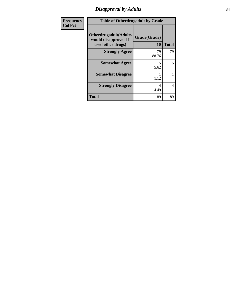# *Disapproval by Adults* **34**

| Frequency      | <b>Table of Otherdrugadult by Grade</b>                                     |                    |              |
|----------------|-----------------------------------------------------------------------------|--------------------|--------------|
| <b>Col Pct</b> | <b>Otherdrugadult</b> (Adults<br>would disapprove if I<br>used other drugs) | Grade(Grade)<br>10 | <b>Total</b> |
|                | <b>Strongly Agree</b>                                                       | 79<br>88.76        | 79           |
|                | <b>Somewhat Agree</b>                                                       | 5<br>5.62          | 5            |
|                | <b>Somewhat Disagree</b>                                                    | 1.12               |              |
|                | <b>Strongly Disagree</b>                                                    | 4<br>4.49          | 4            |
|                | <b>Total</b>                                                                | 89                 | 89           |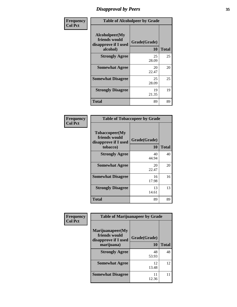### *Disapproval by Peers* **35**

| Frequency      | <b>Table of Alcoholpeer by Grade</b>                                |                           |              |
|----------------|---------------------------------------------------------------------|---------------------------|--------------|
| <b>Col Pct</b> | Alcoholpeer(My<br>friends would<br>disapprove if I used<br>alcohol) | Grade(Grade)<br><b>10</b> | <b>Total</b> |
|                | <b>Strongly Agree</b>                                               | 25<br>28.09               | 25           |
|                | <b>Somewhat Agree</b>                                               | 20<br>22.47               | 20           |
|                | <b>Somewhat Disagree</b>                                            | 25<br>28.09               | 25           |
|                | <b>Strongly Disagree</b>                                            | 19<br>21.35               | 19           |
|                | <b>Total</b>                                                        | 89                        | 89           |

| Frequency      |                                                                     | <b>Table of Tobaccopeer by Grade</b> |              |
|----------------|---------------------------------------------------------------------|--------------------------------------|--------------|
| <b>Col Pct</b> | Tobaccopeer(My<br>friends would<br>disapprove if I used<br>tobacco) | Grade(Grade)<br>10                   | <b>Total</b> |
|                | <b>Strongly Agree</b>                                               | 40<br>44.94                          | 40           |
|                | <b>Somewhat Agree</b>                                               | 20<br>22.47                          | 20           |
|                | <b>Somewhat Disagree</b>                                            | 16<br>17.98                          | 16           |
|                | <b>Strongly Disagree</b>                                            | 13<br>14.61                          | 13           |
|                | <b>Total</b>                                                        | 89                                   | 89           |

| Frequency      | <b>Table of Marijuanapeer by Grade</b>                    |              |              |
|----------------|-----------------------------------------------------------|--------------|--------------|
| <b>Col Pct</b> | Marijuanapeer(My<br>friends would<br>disapprove if I used | Grade(Grade) |              |
|                | marijuana)                                                | 10           | <b>Total</b> |
|                | <b>Strongly Agree</b>                                     | 48<br>53.93  | 48           |
|                | <b>Somewhat Agree</b>                                     | 12<br>13.48  | 12           |
|                | <b>Somewhat Disagree</b>                                  | 11<br>12.36  | 11           |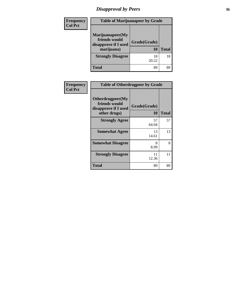# *Disapproval by Peers* **36**

| <b>Frequency</b> | <b>Table of Marijuanapeer by Grade</b>                                  |                    |              |
|------------------|-------------------------------------------------------------------------|--------------------|--------------|
| <b>Col Pct</b>   | Marijuanapeer(My<br>friends would<br>disapprove if I used<br>marijuana) | Grade(Grade)<br>10 | <b>Total</b> |
|                  | <b>Strongly Disagree</b>                                                | 18<br>20.22        | 18           |
|                  | <b>Total</b>                                                            | 89                 | 89           |

| <b>Frequency</b> | <b>Table of Otherdrugpeer by Grade</b>                                    |                           |              |
|------------------|---------------------------------------------------------------------------|---------------------------|--------------|
| <b>Col Pct</b>   | Otherdrugpeer(My<br>friends would<br>disapprove if I used<br>other drugs) | Grade(Grade)<br><b>10</b> | <b>Total</b> |
|                  | <b>Strongly Agree</b>                                                     | 57<br>64.04               | 57           |
|                  | <b>Somewhat Agree</b>                                                     | 13<br>14.61               | 13           |
|                  | <b>Somewhat Disagree</b>                                                  | 8<br>8.99                 | 8            |
|                  | <b>Strongly Disagree</b>                                                  | 11<br>12.36               | 11           |
|                  | <b>Total</b>                                                              | 89                        | 89           |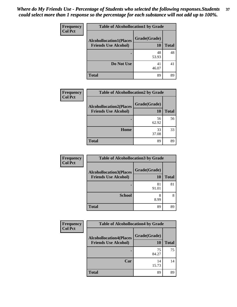| Frequency      | <b>Table of Alcohollocation1 by Grade</b> |              |              |
|----------------|-------------------------------------------|--------------|--------------|
| <b>Col Pct</b> | <b>Alcohollocation1(Places</b>            | Grade(Grade) |              |
|                | <b>Friends Use Alcohol)</b>               | 10           | <b>Total</b> |
|                |                                           | 48<br>53.93  | 48           |
|                | Do Not Use                                | 41<br>46.07  | 41           |
|                | <b>Total</b>                              | 89           | 89           |

| Frequency      | <b>Table of Alcohollocation2 by Grade</b>                     |                           |              |
|----------------|---------------------------------------------------------------|---------------------------|--------------|
| <b>Col Pct</b> | <b>Alcohollocation2(Places</b><br><b>Friends Use Alcohol)</b> | Grade(Grade)<br><b>10</b> | <b>Total</b> |
|                |                                                               | 56<br>62.92               | 56           |
|                | Home                                                          | 33<br>37.08               | 33           |
|                | <b>Total</b>                                                  | 89                        | 89           |

| Frequency<br><b>Col Pct</b> | <b>Table of Alcohollocation 3 by Grade</b>                    |                    |              |
|-----------------------------|---------------------------------------------------------------|--------------------|--------------|
|                             | <b>Alcohollocation3(Places</b><br><b>Friends Use Alcohol)</b> | Grade(Grade)<br>10 | <b>Total</b> |
|                             |                                                               | 81<br>91.01        | 81           |
|                             | <b>School</b>                                                 | 8<br>8.99          | 8            |
|                             | <b>Total</b>                                                  | 89                 | 89           |

| <b>Frequency</b> | <b>Table of Alcohollocation4 by Grade</b>                     |                    |              |
|------------------|---------------------------------------------------------------|--------------------|--------------|
| <b>Col Pct</b>   | <b>Alcohollocation4(Places</b><br><b>Friends Use Alcohol)</b> | Grade(Grade)<br>10 | <b>Total</b> |
|                  |                                                               | 75<br>84.27        | 75           |
|                  | Car                                                           | 14<br>15.73        | 14           |
|                  | <b>Total</b>                                                  | 89                 | 89           |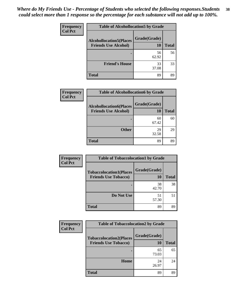| Frequency      | <b>Table of Alcohollocation5 by Grade</b> |              |              |  |
|----------------|-------------------------------------------|--------------|--------------|--|
| <b>Col Pct</b> | <b>Alcohollocation5(Places</b>            | Grade(Grade) |              |  |
|                | <b>Friends Use Alcohol)</b>               | 10           | <b>Total</b> |  |
|                |                                           | 56<br>62.92  | 56           |  |
|                | <b>Friend's House</b>                     | 33<br>37.08  | 33           |  |
|                | <b>Total</b>                              | 89           | 89           |  |

| <b>Frequency</b> | <b>Table of Alcohollocation6 by Grade</b>                     |                           |              |
|------------------|---------------------------------------------------------------|---------------------------|--------------|
| <b>Col Pct</b>   | <b>Alcohollocation6(Places</b><br><b>Friends Use Alcohol)</b> | Grade(Grade)<br><b>10</b> | <b>Total</b> |
|                  |                                                               | 60<br>67.42               | 60           |
|                  | <b>Other</b>                                                  | 29<br>32.58               | 29           |
|                  | <b>Total</b>                                                  | 89                        | 89           |

| Frequency      | <b>Table of Tobaccolocation1 by Grade</b>                     |                    |              |
|----------------|---------------------------------------------------------------|--------------------|--------------|
| <b>Col Pct</b> | <b>Tobaccolocation1(Places</b><br><b>Friends Use Tobacco)</b> | Grade(Grade)<br>10 | <b>Total</b> |
|                |                                                               | 38<br>42.70        | 38           |
|                | Do Not Use                                                    | 51<br>57.30        | 51           |
|                | <b>Total</b>                                                  | 89                 | 89           |

| <b>Frequency</b> | <b>Table of Tobaccolocation2 by Grade</b>                     |                    |              |
|------------------|---------------------------------------------------------------|--------------------|--------------|
| <b>Col Pct</b>   | <b>Tobaccolocation2(Places</b><br><b>Friends Use Tobacco)</b> | Grade(Grade)<br>10 | <b>Total</b> |
|                  |                                                               | 65<br>73.03        | 65           |
|                  | Home                                                          | 24<br>26.97        | 24           |
|                  | Total                                                         | 89                 | 89           |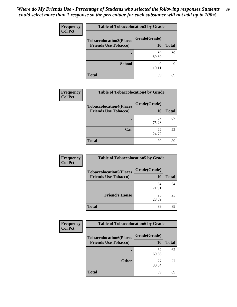| Frequency<br><b>Col Pct</b> | <b>Table of Tobaccolocation3 by Grade</b> |              |              |
|-----------------------------|-------------------------------------------|--------------|--------------|
|                             | <b>Tobaccolocation3(Places</b>            | Grade(Grade) |              |
|                             | <b>Friends Use Tobacco)</b>               | 10           | <b>Total</b> |
|                             |                                           | 80<br>89.89  | 80           |
|                             | <b>School</b>                             | Q<br>10.11   | 9            |
|                             | <b>Total</b>                              | 89           | 89           |

| Frequency      | <b>Table of Tobaccolocation4 by Grade</b>                     |                    |              |
|----------------|---------------------------------------------------------------|--------------------|--------------|
| <b>Col Pct</b> | <b>Tobaccolocation4(Places</b><br><b>Friends Use Tobacco)</b> | Grade(Grade)<br>10 | <b>Total</b> |
|                |                                                               | 67<br>75.28        | 67           |
|                | Car                                                           | 22<br>24.72        | 22           |
|                | <b>Total</b>                                                  | 89                 | 89           |

| Frequency      | <b>Table of Tobaccolocation5 by Grade</b>                     |                    |              |
|----------------|---------------------------------------------------------------|--------------------|--------------|
| <b>Col Pct</b> | <b>Tobaccolocation5(Places</b><br><b>Friends Use Tobacco)</b> | Grade(Grade)<br>10 | <b>Total</b> |
|                |                                                               | 64<br>71.91        | 64           |
|                | <b>Friend's House</b>                                         | 25<br>28.09        | 25           |
|                | <b>Total</b>                                                  | 89                 | 89           |

| <b>Frequency</b> | <b>Table of Tobaccolocation6 by Grade</b>                     |                    |              |
|------------------|---------------------------------------------------------------|--------------------|--------------|
| <b>Col Pct</b>   | <b>Tobaccolocation6(Places</b><br><b>Friends Use Tobacco)</b> | Grade(Grade)<br>10 | <b>Total</b> |
|                  |                                                               | 62<br>69.66        | 62           |
|                  | <b>Other</b>                                                  | 27<br>30.34        | 27           |
|                  | <b>Total</b>                                                  | 89                 | 89           |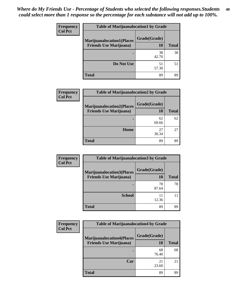| <b>Frequency</b> | <b>Table of Marijuanalocation1 by Grade</b> |              |              |
|------------------|---------------------------------------------|--------------|--------------|
| <b>Col Pct</b>   | <b>Marijuanalocation1(Places</b>            | Grade(Grade) |              |
|                  | <b>Friends Use Marijuana</b> )              | 10           | <b>Total</b> |
|                  | $\bullet$                                   | 38<br>42.70  | 38           |
|                  | Do Not Use                                  | 51<br>57.30  | 51           |
|                  | <b>Total</b>                                | 89           | 89           |

| Frequency      | <b>Table of Marijuanalocation2 by Grade</b>                        |                    |              |
|----------------|--------------------------------------------------------------------|--------------------|--------------|
| <b>Col Pct</b> | <b>Marijuanalocation2(Places</b><br><b>Friends Use Marijuana</b> ) | Grade(Grade)<br>10 | <b>Total</b> |
|                |                                                                    | 62<br>69.66        | 62           |
|                | Home                                                               | 27<br>30.34        | 27           |
|                | <b>Total</b>                                                       | 89                 | 89           |

| Frequency      | <b>Table of Marijuanalocation3 by Grade</b>                        |                    |              |
|----------------|--------------------------------------------------------------------|--------------------|--------------|
| <b>Col Pct</b> | <b>Marijuanalocation3(Places</b><br><b>Friends Use Marijuana</b> ) | Grade(Grade)<br>10 | <b>Total</b> |
|                |                                                                    | 78<br>87.64        | 78           |
|                | <b>School</b>                                                      | 12.36              |              |
|                | <b>Total</b>                                                       | 89                 | 89           |

| Frequency      | <b>Table of Marijuanalocation4 by Grade</b>                        |                    |              |
|----------------|--------------------------------------------------------------------|--------------------|--------------|
| <b>Col Pct</b> | <b>Marijuanalocation4(Places</b><br><b>Friends Use Marijuana</b> ) | Grade(Grade)<br>10 | <b>Total</b> |
|                |                                                                    | 68<br>76.40        | 68           |
|                | Car                                                                | 21<br>23.60        | 21           |
|                | <b>Total</b>                                                       | 89                 | 89           |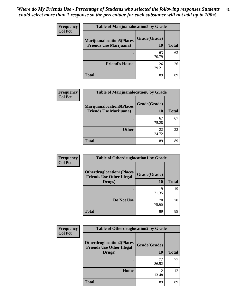| <b>Frequency</b> | <b>Table of Marijuanalocation5 by Grade</b> |              |              |
|------------------|---------------------------------------------|--------------|--------------|
| <b>Col Pct</b>   | <b>Marijuanalocation5(Places</b>            | Grade(Grade) |              |
|                  | <b>Friends Use Marijuana</b> )              | 10           | <b>Total</b> |
|                  |                                             | 63<br>70.79  | 63           |
|                  | <b>Friend's House</b>                       | 26<br>29.21  | 26           |
|                  | <b>Total</b>                                | 89           | 89           |

| Frequency      | <b>Table of Marijuanalocation6 by Grade</b>                        |                    |              |
|----------------|--------------------------------------------------------------------|--------------------|--------------|
| <b>Col Pct</b> | <b>Marijuanalocation6(Places</b><br><b>Friends Use Marijuana</b> ) | Grade(Grade)<br>10 | <b>Total</b> |
|                |                                                                    | 67<br>75.28        | 67           |
|                | <b>Other</b>                                                       | 22<br>24.72        | 22           |
|                | <b>Total</b>                                                       | 89                 | 89           |

| Frequency      | <b>Table of Otherdruglocation1 by Grade</b>                                    |                           |              |
|----------------|--------------------------------------------------------------------------------|---------------------------|--------------|
| <b>Col Pct</b> | <b>Otherdruglocation1(Places</b><br><b>Friends Use Other Illegal</b><br>Drugs) | Grade(Grade)<br><b>10</b> | <b>Total</b> |
|                |                                                                                | 19<br>21.35               | 19           |
|                | Do Not Use                                                                     | 70<br>78.65               | 70           |
|                | <b>Total</b>                                                                   | 89                        | 89           |

| Frequency      | <b>Table of Otherdruglocation2 by Grade</b>                          |                    |              |
|----------------|----------------------------------------------------------------------|--------------------|--------------|
| <b>Col Pct</b> | <b>Otherdruglocation2(Places</b><br><b>Friends Use Other Illegal</b> | Grade(Grade)<br>10 | <b>Total</b> |
|                | Drugs)                                                               |                    |              |
|                |                                                                      | 77<br>86.52        | 77           |
|                | Home                                                                 | 12<br>13.48        | 12           |
|                | <b>Total</b>                                                         | 89                 | 89           |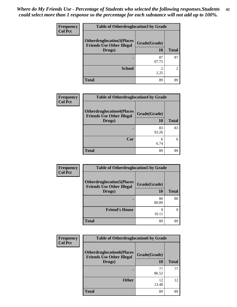| <b>Frequency</b> | <b>Table of Otherdruglocation3 by Grade</b>                                    |                    |                |
|------------------|--------------------------------------------------------------------------------|--------------------|----------------|
| <b>Col Pct</b>   | <b>Otherdruglocation3(Places</b><br><b>Friends Use Other Illegal</b><br>Drugs) | Grade(Grade)<br>10 | <b>Total</b>   |
|                  |                                                                                | 87<br>97.75        | 87             |
|                  | <b>School</b>                                                                  | 2.25               | $\mathfrak{D}$ |
|                  | <b>Total</b>                                                                   | 89                 | 89             |

| Frequency      | <b>Table of Otherdruglocation4 by Grade</b>                                    |                    |              |
|----------------|--------------------------------------------------------------------------------|--------------------|--------------|
| <b>Col Pct</b> | <b>Otherdruglocation4(Places</b><br><b>Friends Use Other Illegal</b><br>Drugs) | Grade(Grade)<br>10 | <b>Total</b> |
|                |                                                                                | 83<br>93.26        | 83           |
|                | Car                                                                            | 6<br>6.74          | 6            |
|                | <b>Total</b>                                                                   | 89                 | 89           |

| Frequency      | <b>Table of Otherdruglocation5 by Grade</b>                                    |                    |              |
|----------------|--------------------------------------------------------------------------------|--------------------|--------------|
| <b>Col Pct</b> | <b>Otherdruglocation5(Places</b><br><b>Friends Use Other Illegal</b><br>Drugs) | Grade(Grade)<br>10 | <b>Total</b> |
|                |                                                                                | 80<br>89.89        | 80           |
|                | <b>Friend's House</b>                                                          | Q<br>10.11         | 9            |
|                | <b>Total</b>                                                                   | 89                 | 89           |

| Frequency      | <b>Table of Otherdruglocation6 by Grade</b>                                    |                           |              |
|----------------|--------------------------------------------------------------------------------|---------------------------|--------------|
| <b>Col Pct</b> | <b>Otherdruglocation6(Places</b><br><b>Friends Use Other Illegal</b><br>Drugs) | Grade(Grade)<br><b>10</b> | <b>Total</b> |
|                |                                                                                | 77<br>86.52               | 77           |
|                | <b>Other</b>                                                                   | 12<br>13.48               | 12           |
|                | <b>Total</b>                                                                   | 89                        | 89           |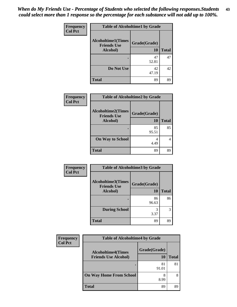| Frequency      | <b>Table of Alcoholtime1 by Grade</b>           |              |              |
|----------------|-------------------------------------------------|--------------|--------------|
| <b>Col Pct</b> | <b>Alcoholtime1(Times</b><br><b>Friends Use</b> | Grade(Grade) |              |
|                | Alcohol)                                        | 10           | <b>Total</b> |
|                |                                                 | 47<br>52.81  | 47           |
|                | Do Not Use                                      | 42<br>47.19  | 42           |
|                | <b>Total</b>                                    | 89           | 89           |

| Frequency      |                                                 | <b>Table of Alcoholtime2 by Grade</b> |              |
|----------------|-------------------------------------------------|---------------------------------------|--------------|
| <b>Col Pct</b> | <b>Alcoholtime2(Times</b><br><b>Friends Use</b> | Grade(Grade)                          |              |
|                | Alcohol)                                        | 10                                    | <b>Total</b> |
|                |                                                 | 85<br>95.51                           | 85           |
|                | <b>On Way to School</b>                         | 4<br>4.49                             |              |
|                | <b>Total</b>                                    | 89                                    | 89           |

| Frequency      | <b>Table of Alcoholtime3 by Grade</b>           |              |              |
|----------------|-------------------------------------------------|--------------|--------------|
| <b>Col Pct</b> | <b>Alcoholtime3(Times</b><br><b>Friends Use</b> | Grade(Grade) |              |
|                | Alcohol)                                        | 10           | <b>Total</b> |
|                |                                                 | 86<br>96.63  | 86           |
|                | <b>During School</b>                            | 3<br>3.37    | 3            |
|                | <b>Total</b>                                    | 89           | 89           |

| Frequency<br><b>Col Pct</b> | <b>Table of Alcoholtime4 by Grade</b> |              |              |
|-----------------------------|---------------------------------------|--------------|--------------|
|                             | <b>Alcoholtime4(Times</b>             | Grade(Grade) |              |
|                             | <b>Friends Use Alcohol)</b>           | <b>10</b>    | <b>Total</b> |
|                             |                                       | 81<br>91.01  | 81           |
|                             | <b>On Way Home From School</b>        | 8<br>8.99    | 8            |
|                             | <b>Total</b>                          | 89           | 89           |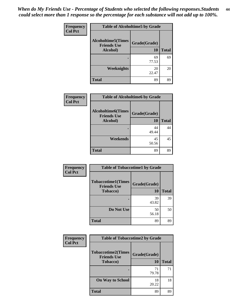| Frequency      | <b>Table of Alcoholtime5 by Grade</b>           |              |              |
|----------------|-------------------------------------------------|--------------|--------------|
| <b>Col Pct</b> | <b>Alcoholtime5(Times</b><br><b>Friends Use</b> | Grade(Grade) |              |
|                | Alcohol)                                        | 10           | <b>Total</b> |
|                |                                                 | 69<br>77.53  | 69           |
|                | Weeknights                                      | 20<br>22.47  | 20           |
|                | <b>Total</b>                                    | 89           | 89           |

| Frequency      | <b>Table of Alcoholtime6 by Grade</b>           |              |              |
|----------------|-------------------------------------------------|--------------|--------------|
| <b>Col Pct</b> | <b>Alcoholtime6(Times</b><br><b>Friends Use</b> | Grade(Grade) |              |
|                | Alcohol)                                        | 10           | <b>Total</b> |
|                |                                                 | 44<br>49.44  | 44           |
|                | Weekends                                        | 45<br>50.56  | 45           |
|                | <b>Total</b>                                    | 89           | 89           |

| Frequency      | <b>Table of Tobaccotime1 by Grade</b>           |              |              |
|----------------|-------------------------------------------------|--------------|--------------|
| <b>Col Pct</b> | <b>Tobaccotime1(Times</b><br><b>Friends Use</b> | Grade(Grade) |              |
|                | <b>Tobacco</b> )                                | <b>10</b>    | <b>Total</b> |
|                |                                                 | 39<br>43.82  | 39           |
|                | Do Not Use                                      | 50<br>56.18  | 50           |
|                | <b>Total</b>                                    | 89           | 89           |

| Frequency      | <b>Table of Tobaccotime2 by Grade</b>           |              |              |
|----------------|-------------------------------------------------|--------------|--------------|
| <b>Col Pct</b> | <b>Tobaccotime2(Times</b><br><b>Friends Use</b> | Grade(Grade) |              |
|                | <b>Tobacco</b> )                                | 10           | <b>Total</b> |
|                |                                                 | 71<br>79.78  | 71           |
|                | <b>On Way to School</b>                         | 18<br>20.22  | 18           |
|                | <b>Total</b>                                    | 89           | 89           |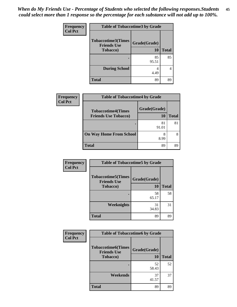| Frequency      | <b>Table of Tobaccotime3 by Grade</b>                               |                    |              |
|----------------|---------------------------------------------------------------------|--------------------|--------------|
| <b>Col Pct</b> | <b>Tobaccotime3(Times</b><br><b>Friends Use</b><br><b>Tobacco</b> ) | Grade(Grade)<br>10 | <b>Total</b> |
|                |                                                                     | 85<br>95.51        | 85           |
|                | <b>During School</b>                                                | 4<br>4.49          |              |
|                | <b>Total</b>                                                        | 89                 | 89           |

| <b>Frequency</b> | <b>Table of Tobaccotime4 by Grade</b>                    |                           |              |
|------------------|----------------------------------------------------------|---------------------------|--------------|
| <b>Col Pct</b>   | <b>Tobaccotime4(Times</b><br><b>Friends Use Tobacco)</b> | Grade(Grade)<br><b>10</b> | <b>Total</b> |
|                  |                                                          | 81<br>91.01               | 81           |
|                  | <b>On Way Home From School</b>                           | 8<br>8.99                 | 8            |
|                  | <b>Total</b>                                             | 89                        | 89           |

| Frequency      | <b>Table of Tobaccotime5 by Grade</b>           |              |              |
|----------------|-------------------------------------------------|--------------|--------------|
| <b>Col Pct</b> | <b>Tobaccotime5(Times</b><br><b>Friends Use</b> | Grade(Grade) |              |
|                | <b>Tobacco</b> )                                | <b>10</b>    | <b>Total</b> |
|                |                                                 | 58<br>65.17  | 58           |
|                | Weeknights                                      | 31<br>34.83  | 31           |
|                | <b>Total</b>                                    | 89           | 89           |

| <b>Frequency</b> | <b>Table of Tobaccotime6 by Grade</b>                               |                           |              |
|------------------|---------------------------------------------------------------------|---------------------------|--------------|
| <b>Col Pct</b>   | <b>Tobaccotime6(Times</b><br><b>Friends Use</b><br><b>Tobacco</b> ) | Grade(Grade)<br><b>10</b> | <b>Total</b> |
|                  |                                                                     | 52<br>58.43               | 52           |
|                  | Weekends                                                            | 37<br>41.57               | 37           |
|                  | <b>Total</b>                                                        | 89                        | 89           |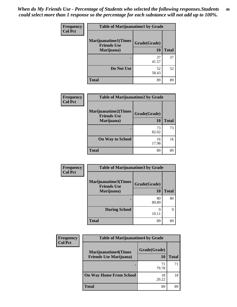| Frequency      | <b>Table of Marijuanatime1 by Grade</b>           |              |              |
|----------------|---------------------------------------------------|--------------|--------------|
| <b>Col Pct</b> | <b>Marijuanatime1(Times</b><br><b>Friends Use</b> | Grade(Grade) |              |
|                | Marijuana)                                        | <b>10</b>    | <b>Total</b> |
|                |                                                   | 37<br>41.57  | 37           |
|                | Do Not Use                                        | 52<br>58.43  | 52           |
|                | <b>Total</b>                                      | 89           | 89           |

| Frequency | <b>Table of Marijuanatime2 by Grade</b>           |              |              |
|-----------|---------------------------------------------------|--------------|--------------|
| Col Pct   | <b>Marijuanatime2(Times</b><br><b>Friends Use</b> | Grade(Grade) |              |
|           | Marijuana)                                        | 10           | <b>Total</b> |
|           |                                                   | 73<br>82.02  | 73           |
|           | <b>On Way to School</b>                           | 16<br>17.98  | 16           |
|           | <b>Total</b>                                      | 89           | 89           |

| Frequency      | <b>Table of Marijuanatime3 by Grade</b>    |              |              |
|----------------|--------------------------------------------|--------------|--------------|
| <b>Col Pct</b> | Marijuanatime3(Times<br><b>Friends Use</b> | Grade(Grade) |              |
|                | Marijuana)                                 | 10           | <b>Total</b> |
|                |                                            | 80<br>89.89  | 80           |
|                | <b>During School</b>                       | 9<br>10.11   | 9            |
|                | <b>Total</b>                               | 89           | 89           |

| <b>Frequency</b> | <b>Table of Marijuanatime4 by Grade</b>                       |                    |              |
|------------------|---------------------------------------------------------------|--------------------|--------------|
| <b>Col Pct</b>   | <b>Marijuanatime4(Times</b><br><b>Friends Use Marijuana</b> ) | Grade(Grade)<br>10 | <b>Total</b> |
|                  |                                                               | 71<br>79.78        | 71           |
|                  | <b>On Way Home From School</b>                                | 18<br>20.22        | 18           |
|                  | <b>Total</b>                                                  | 89                 | 89           |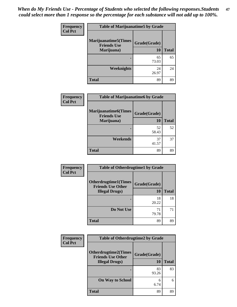*When do My Friends Use - Percentage of Students who selected the following responses.Students could select more than 1 response so the percentage for each substance will not add up to 100%.* **47**

| <b>Frequency</b> | <b>Table of Marijuanatime5 by Grade</b>                          |                    |              |
|------------------|------------------------------------------------------------------|--------------------|--------------|
| <b>Col Pct</b>   | <b>Marijuanatime5</b> (Times<br><b>Friends Use</b><br>Marijuana) | Grade(Grade)<br>10 | <b>Total</b> |
|                  |                                                                  | 65<br>73.03        | 65           |
|                  | <b>Weeknights</b>                                                | 24<br>26.97        | 24           |
|                  | <b>Total</b>                                                     | 89                 | 89           |

| Frequency | <b>Table of Marijuanatime6 by Grade</b>           |              |              |
|-----------|---------------------------------------------------|--------------|--------------|
| Col Pct   | <b>Marijuanatime6(Times</b><br><b>Friends Use</b> | Grade(Grade) |              |
|           | Marijuana)                                        | <b>10</b>    | <b>Total</b> |
|           |                                                   | 52<br>58.43  | 52           |
|           |                                                   |              |              |
|           | Weekends                                          | 37<br>41.57  | 37           |
|           | <b>Total</b>                                      | 89           | 89           |

| Frequency      | <b>Table of Otherdrugtime1 by Grade</b>                  |              |              |
|----------------|----------------------------------------------------------|--------------|--------------|
| <b>Col Pct</b> | <b>Otherdrugtime1</b> (Times<br><b>Friends Use Other</b> | Grade(Grade) |              |
|                | <b>Illegal Drugs</b> )                                   | 10           | <b>Total</b> |
|                |                                                          | 18<br>20.22  | 18           |
|                | Do Not Use                                               | 71<br>79.78  | 71           |
|                | <b>Total</b>                                             | 89           | 89           |

| <b>Frequency</b> | <b>Table of Otherdrugtime2 by Grade</b>                                           |                    |              |
|------------------|-----------------------------------------------------------------------------------|--------------------|--------------|
| <b>Col Pct</b>   | <b>Otherdrugtime2(Times</b><br><b>Friends Use Other</b><br><b>Illegal Drugs</b> ) | Grade(Grade)<br>10 | <b>Total</b> |
|                  |                                                                                   | 83<br>93.26        | 83           |
|                  | <b>On Way to School</b>                                                           | 6<br>6.74          | 6            |
|                  | Total                                                                             | 89                 | 89           |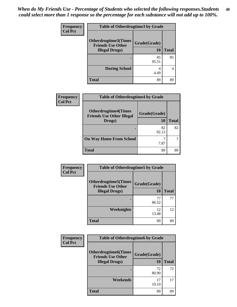| <b>Frequency</b> | <b>Table of Otherdrugtime3 by Grade</b> |              |              |
|------------------|-----------------------------------------|--------------|--------------|
| <b>Col Pct</b>   | Otherdrugtime3(Times                    |              |              |
|                  | <b>Friends Use Other</b>                | Grade(Grade) |              |
|                  | <b>Illegal Drugs</b> )                  | <b>10</b>    | <b>Total</b> |
|                  |                                         | 85           | 85           |
|                  |                                         | 95.51        |              |
|                  | <b>During School</b>                    | 4            | 4            |
|                  |                                         | 4.49         |              |
|                  | <b>Total</b>                            | 89           | 89           |

| Frequency | <b>Table of Otherdrugtime4 by Grade</b>                                   |                    |              |
|-----------|---------------------------------------------------------------------------|--------------------|--------------|
| Col Pct   | <b>Otherdrugtime4(Times</b><br><b>Friends Use Other Illegal</b><br>Drugs) | Grade(Grade)<br>10 | <b>Total</b> |
|           |                                                                           | 82<br>92.13        | 82           |
|           | <b>On Way Home From School</b>                                            | 7.87               |              |
|           | <b>Total</b>                                                              | 89                 | 89           |

| Frequency      | <b>Table of Otherdrugtime5 by Grade</b>                 |              |              |
|----------------|---------------------------------------------------------|--------------|--------------|
| <b>Col Pct</b> | <b>Otherdrugtime5(Times</b><br><b>Friends Use Other</b> | Grade(Grade) |              |
|                | <b>Illegal Drugs</b> )                                  | 10           | <b>Total</b> |
|                |                                                         | 77<br>86.52  | 77           |
|                | Weeknights                                              | 12<br>13.48  | 12           |
|                | <b>Total</b>                                            | 89           | 89           |

| Frequency      | <b>Table of Otherdrugtime6 by Grade</b>                                           |                    |              |
|----------------|-----------------------------------------------------------------------------------|--------------------|--------------|
| <b>Col Pct</b> | <b>Otherdrugtime6(Times</b><br><b>Friends Use Other</b><br><b>Illegal Drugs</b> ) | Grade(Grade)<br>10 | <b>Total</b> |
|                |                                                                                   | 72<br>80.90        | 72           |
|                | Weekends                                                                          | 17<br>19.10        | 17           |
|                | <b>Total</b>                                                                      | 89                 | 89           |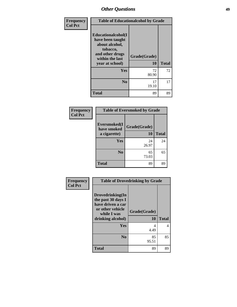| Frequency      | <b>Table of Educationalcohol by Grade</b>                                                                                     |                           |              |  |  |
|----------------|-------------------------------------------------------------------------------------------------------------------------------|---------------------------|--------------|--|--|
| <b>Col Pct</b> | Educationalcohol(I<br>have been taught<br>about alcohol,<br>tobacco,<br>and other drugs<br>within the last<br>year at school) | Grade(Grade)<br><b>10</b> | <b>Total</b> |  |  |
|                |                                                                                                                               |                           |              |  |  |
|                | Yes                                                                                                                           | 72<br>80.90               | 72           |  |  |
|                | $\bf No$                                                                                                                      | 17<br>19.10               | 17           |  |  |
|                | <b>Total</b>                                                                                                                  | 89                        | 89           |  |  |

| Frequency      | <b>Table of Eversmoked by Grade</b> |              |              |  |  |
|----------------|-------------------------------------|--------------|--------------|--|--|
| <b>Col Pct</b> | Eversmoked(I<br>have smoked         | Grade(Grade) |              |  |  |
|                | a cigarette)                        | 10           | <b>Total</b> |  |  |
|                | Yes                                 | 24<br>26.97  | 24           |  |  |
|                | N <sub>0</sub>                      | 65<br>73.03  | 65           |  |  |
|                | <b>Total</b>                        | 89           | 89           |  |  |

| Frequency      | <b>Table of Drovedrinking by Grade</b>                                                                              |                           |              |  |  |  |
|----------------|---------------------------------------------------------------------------------------------------------------------|---------------------------|--------------|--|--|--|
| <b>Col Pct</b> | Drovedrinking(In<br>the past 30 days I<br>have driven a car<br>or other vehicle<br>while I was<br>drinking alcohol) | Grade(Grade)<br><b>10</b> | <b>Total</b> |  |  |  |
|                | <b>Yes</b>                                                                                                          | 4<br>4.49                 | 4            |  |  |  |
|                | N <sub>0</sub>                                                                                                      | 85<br>95.51               | 85           |  |  |  |
|                | <b>Total</b>                                                                                                        | 89                        | 89           |  |  |  |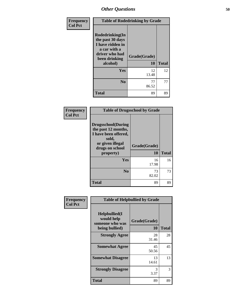| Frequency      | <b>Table of Rodedrinking by Grade</b>                                                                                  |                           |              |  |  |
|----------------|------------------------------------------------------------------------------------------------------------------------|---------------------------|--------------|--|--|
| <b>Col Pct</b> | Rodedrinking(In<br>the past 30 days<br>I have ridden in<br>a car with a<br>driver who had<br>been drinking<br>alcohol) | Grade(Grade)<br><b>10</b> | <b>Total</b> |  |  |
|                | Yes                                                                                                                    | 12<br>13.48               | 12           |  |  |
|                | N <sub>0</sub>                                                                                                         | 77<br>86.52               | 77           |  |  |
|                | <b>Total</b>                                                                                                           | 89                        | 89           |  |  |

### **Frequency Col Pct**

| <b>Table of Drugsschool by Grade</b>                                                                              |              |              |  |  |  |
|-------------------------------------------------------------------------------------------------------------------|--------------|--------------|--|--|--|
| Drugsschool(During<br>the past 12 months,<br>I have been offered,<br>sold,<br>or given illegal<br>drugs on school | Grade(Grade) |              |  |  |  |
| property)                                                                                                         | 10           | <b>Total</b> |  |  |  |
| Yes                                                                                                               | 16<br>17.98  | 16           |  |  |  |
| N <sub>0</sub>                                                                                                    | 73<br>82.02  | 73           |  |  |  |
| <b>Total</b>                                                                                                      | 89           | 89           |  |  |  |

| Frequency      |                                                                     | <b>Table of Helpbullied by Grade</b> |              |
|----------------|---------------------------------------------------------------------|--------------------------------------|--------------|
| <b>Col Pct</b> | $Helpb$ ullied(I<br>would help<br>someone who was<br>being bullied) | Grade(Grade)<br>10                   | <b>Total</b> |
|                | <b>Strongly Agree</b>                                               | 28<br>31.46                          | 28           |
|                | <b>Somewhat Agree</b>                                               | 45<br>50.56                          | 45           |
|                | <b>Somewhat Disagree</b>                                            | 13<br>14.61                          | 13           |
|                | <b>Strongly Disagree</b>                                            | 3<br>3.37                            | 3            |
|                | <b>Total</b>                                                        | 89                                   | 89           |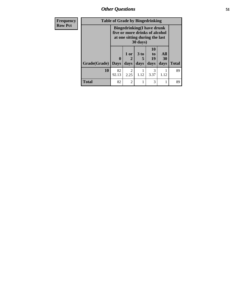| Frequency      | <b>Table of Grade by Bingedrinking</b> |                                                                                                                   |                              |              |                               |                   |              |
|----------------|----------------------------------------|-------------------------------------------------------------------------------------------------------------------|------------------------------|--------------|-------------------------------|-------------------|--------------|
| <b>Row Pct</b> |                                        | <b>Bingedrinking(I have drunk</b><br>five or more drinks of alcohol<br>at one sitting during the last<br>30 days) |                              |              |                               |                   |              |
|                | Grade(Grade)   Days                    | 0                                                                                                                 | 1 or<br>$\mathbf{2}$<br>days | 3 to<br>days | <b>10</b><br>to<br>19<br>days | All<br>30<br>days | <b>Total</b> |
|                | 10                                     | 82<br>92.13                                                                                                       | $\overline{2}$<br>2.25       | 1.12         | 3<br>3.37                     | 1.12              | 89           |
|                | <b>Total</b>                           | 82                                                                                                                | $\overline{2}$               |              | 3                             |                   | 89           |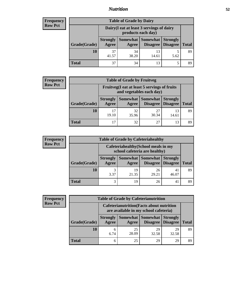## *Nutrition* **52**

## **Frequency Row Pct**

| <b>Table of Grade by Dairy</b> |                                                                 |             |                                 |                                    |              |  |
|--------------------------------|-----------------------------------------------------------------|-------------|---------------------------------|------------------------------------|--------------|--|
|                                | Dairy (I eat at least 3 servings of dairy<br>products each day) |             |                                 |                                    |              |  |
| Grade(Grade)                   | <b>Strongly</b><br>Agree                                        | Agree       | Somewhat   Somewhat<br>Disagree | <b>Strongly</b><br><b>Disagree</b> | <b>Total</b> |  |
| 10                             | 37<br>41.57                                                     | 34<br>38.20 | 13<br>14.61                     | 5.62                               | 89           |  |
| <b>Total</b>                   |                                                                 | 34          | 13                              |                                    | 89           |  |

## **Frequency Row Pct**

| V | <b>Table of Grade by Fruitveg</b> |                                                                          |             |                     |                                        |              |
|---|-----------------------------------|--------------------------------------------------------------------------|-------------|---------------------|----------------------------------------|--------------|
|   |                                   | Fruitveg(I eat at least 5 servings of fruits<br>and vegetables each day) |             |                     |                                        |              |
|   | Grade(Grade)                      | <b>Strongly</b><br>Agree                                                 | Agree       | Somewhat   Somewhat | <b>Strongly</b><br>Disagree   Disagree | <b>Total</b> |
|   | 10                                | 17<br>19.10                                                              | 32<br>35.96 | 27<br>30.34         | 13<br>14.61                            | 89           |
|   | <b>Total</b>                      | 17                                                                       | 32          | 27                  | 13                                     |              |

### **Frequency Row Pct**

| ÿ | <b>Table of Grade by Cafeteriahealthy</b>                             |                          |             |                     |                                        |              |
|---|-----------------------------------------------------------------------|--------------------------|-------------|---------------------|----------------------------------------|--------------|
|   | Cafeteriahealthy (School meals in my<br>school cafeteria are healthy) |                          |             |                     |                                        |              |
|   | Grade(Grade)                                                          | <b>Strongly</b><br>Agree | Agree       | Somewhat   Somewhat | <b>Strongly</b><br>Disagree   Disagree | <b>Total</b> |
|   | 10                                                                    | 3.37                     | 19<br>21.35 | 26<br>29.21         | 41<br>46.07                            | 89           |
|   | <b>Total</b>                                                          | 3                        | 19          | 26                  | 41                                     | 89           |

| <b>Frequency</b> |
|------------------|
| <b>Row Pct</b>   |

г ٦.

| <b>Table of Grade by Cafeterianutrition</b>                                               |                          |                   |             |                                        |              |
|-------------------------------------------------------------------------------------------|--------------------------|-------------------|-------------|----------------------------------------|--------------|
| <b>Cafeterianutrition</b> (Facts about nutrition<br>are available in my school cafeteria) |                          |                   |             |                                        |              |
| Grade(Grade)                                                                              | <b>Strongly</b><br>Agree | Somewhat<br>Agree | Somewhat    | <b>Strongly</b><br>Disagree   Disagree | <b>Total</b> |
| 10                                                                                        | 6<br>6.74                | 25<br>28.09       | 29<br>32.58 | 29<br>32.58                            | 89           |
| <b>Total</b>                                                                              | 6                        | 25                | 29          | 29                                     | 89           |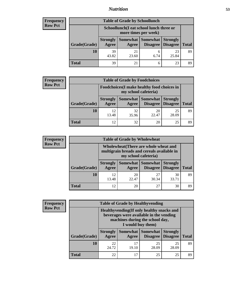## *Nutrition* **53**

## **Frequency Row Pct**

| <b>Table of Grade by Schoollunch</b> |                          |                                                                 |                            |                                        |              |
|--------------------------------------|--------------------------|-----------------------------------------------------------------|----------------------------|----------------------------------------|--------------|
|                                      |                          | Schoollunch(I eat school lunch three or<br>more times per week) |                            |                                        |              |
| Grade(Grade)                         | <b>Strongly</b><br>Agree | Agree                                                           | <b>Somewhat   Somewhat</b> | <b>Strongly</b><br>Disagree   Disagree | <b>Total</b> |
| 10                                   | 39<br>43.82              | 21<br>23.60                                                     | 6<br>6.74                  | 23<br>25.84                            | 89           |
| Total                                | 39                       | 21                                                              | 6                          | 23                                     | 89           |

## **Frequency Row Pct**

| $\mathbf{y}$ | <b>Table of Grade by Foodchoices</b> |                          |                                                                     |                          |                                             |              |  |
|--------------|--------------------------------------|--------------------------|---------------------------------------------------------------------|--------------------------|---------------------------------------------|--------------|--|
|              |                                      |                          | Foodchoices (I make healthy food choices in<br>my school cafeteria) |                          |                                             |              |  |
|              | Grade(Grade)                         | <b>Strongly</b><br>Agree | Agree                                                               | <b>Somewhat</b> Somewhat | <b>Strongly</b><br><b>Disagree</b> Disagree | <b>Total</b> |  |
|              | 10                                   | 12<br>13.48              | 32<br>35.96                                                         | 20<br>22.47              | 25<br>28.09                                 | 89           |  |
|              | <b>Total</b>                         | 12                       | 32                                                                  | 20                       | 25                                          | 89           |  |

### **Frequency Row Pct**

| <b>CV</b> | <b>Table of Grade by Wholewheat</b> |                                                                                                             |             |                                          |                 |              |
|-----------|-------------------------------------|-------------------------------------------------------------------------------------------------------------|-------------|------------------------------------------|-----------------|--------------|
|           |                                     | Wholewheat (There are whole wheat and<br>multigrain breads and cereals available in<br>my school cafeteria) |             |                                          |                 |              |
|           | Grade(Grade)                        | <b>Strongly</b><br>Agree                                                                                    | Agree       | Somewhat Somewhat<br>Disagree   Disagree | <b>Strongly</b> | <b>Total</b> |
|           | 10                                  | 12<br>13.48                                                                                                 | 20<br>22.47 | 27<br>30.34                              | 30<br>33.71     | 89           |
|           | <b>Total</b>                        | 12                                                                                                          | 20          | 27                                       | 30              | 89           |

### **Frequency Row Pct**

| V |              |                                                                                                                                               | <b>Table of Grade by Healthyvending</b> |                                      |                                    |              |  |
|---|--------------|-----------------------------------------------------------------------------------------------------------------------------------------------|-----------------------------------------|--------------------------------------|------------------------------------|--------------|--|
|   |              | Healthyvending (If only healthy snacks and<br>beverages were available in the vending<br>machines during the school day,<br>I would buy them) |                                         |                                      |                                    |              |  |
|   | Grade(Grade) | <b>Strongly</b><br>Agree                                                                                                                      | Agree                                   | Somewhat Somewhat<br><b>Disagree</b> | <b>Strongly</b><br><b>Disagree</b> | <b>Total</b> |  |
|   | 10           | 22<br>24.72                                                                                                                                   | 17<br>19.10                             | 25<br>28.09                          | 25<br>28.09                        | 89           |  |
|   | <b>Total</b> | 22                                                                                                                                            | 17                                      | 25                                   | 25                                 | 89           |  |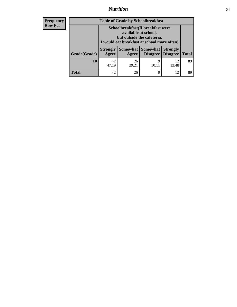# *Nutrition* **54**

| <b>Frequency</b> |
|------------------|
| - Row Pct        |

| <b>Table of Grade by Schoolbreakfast</b> |                                                                                                                                         |                     |                      |                                    |              |
|------------------------------------------|-----------------------------------------------------------------------------------------------------------------------------------------|---------------------|----------------------|------------------------------------|--------------|
|                                          | Schoolbreakfast (If breakfast were<br>available at school,<br>but outside the cafeteria,<br>I would eat breakfast at school more often) |                     |                      |                                    |              |
| Grade(Grade)                             | <b>Strongly</b><br><b>Agree</b>                                                                                                         | Somewhat  <br>Agree | Somewhat<br>Disagree | <b>Strongly</b><br><b>Disagree</b> | <b>Total</b> |
| 10                                       | 42<br>47.19                                                                                                                             | 26<br>29.21         | 9<br>10.11           | 12<br>13.48                        | 89           |
| Total                                    | 42                                                                                                                                      | 26                  | 9                    | 12                                 | 89           |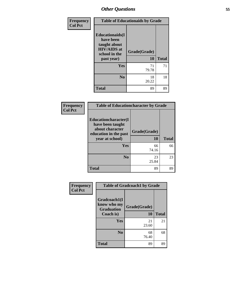| Frequency      | <b>Table of Educationaids by Grade</b>                                                                    |                    |              |  |
|----------------|-----------------------------------------------------------------------------------------------------------|--------------------|--------------|--|
| <b>Col Pct</b> | <b>Educationaids</b> (I<br>have been<br>taught about<br><b>HIV/AIDS</b> at<br>school in the<br>past year) | Grade(Grade)<br>10 | <b>Total</b> |  |
|                | Yes                                                                                                       | 71<br>79.78        | 71           |  |
|                | N <sub>0</sub>                                                                                            | 18<br>20.22        | 18           |  |
|                | <b>Total</b>                                                                                              | 89                 | 89           |  |

| Frequency      | <b>Table of Educationcharacter by Grade</b>                                                             |                    |              |  |
|----------------|---------------------------------------------------------------------------------------------------------|--------------------|--------------|--|
| <b>Col Pct</b> | Educationcharacter(I<br>have been taught<br>about character<br>education in the past<br>year at school) | Grade(Grade)<br>10 | <b>Total</b> |  |
|                | <b>Yes</b>                                                                                              | 66<br>74.16        | 66           |  |
|                | N <sub>0</sub>                                                                                          | 23<br>25.84        | 23           |  |
|                | <b>Total</b>                                                                                            | 89                 | 89           |  |

| Frequency      | <b>Table of Gradcoach1 by Grade</b>                           |                    |              |  |
|----------------|---------------------------------------------------------------|--------------------|--------------|--|
| <b>Col Pct</b> | Gradcoach1(I<br>know who my<br><b>Graduation</b><br>Coach is) | Grade(Grade)<br>10 | <b>Total</b> |  |
|                | Yes                                                           | 21<br>23.60        | 21           |  |
|                | N <sub>0</sub>                                                | 68<br>76.40        | 68           |  |
|                | <b>Total</b>                                                  | 89                 | 89           |  |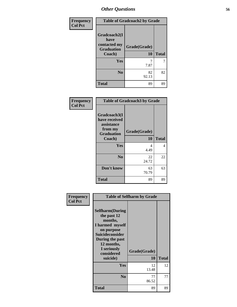| Frequency      | <b>Table of Gradcoach2 by Grade</b>                                 |                    |              |  |
|----------------|---------------------------------------------------------------------|--------------------|--------------|--|
| <b>Col Pct</b> | Gradcoach2(I<br>have<br>contacted my<br><b>Graduation</b><br>Coach) | Grade(Grade)<br>10 | <b>Total</b> |  |
|                |                                                                     |                    |              |  |
|                | Yes                                                                 | 7.87               | 7            |  |
|                | N <sub>0</sub>                                                      | 82<br>92.13        | 82           |  |
|                | <b>Total</b>                                                        | 89                 | 89           |  |

| Frequency<br><b>Col Pct</b> |                                                                             | <b>Table of Gradcoach3 by Grade</b> |              |
|-----------------------------|-----------------------------------------------------------------------------|-------------------------------------|--------------|
|                             | Gradcoach3(I<br>have received<br>assistance<br>from my<br><b>Graduation</b> | Grade(Grade)<br>10                  | <b>Total</b> |
|                             | Coach)                                                                      |                                     |              |
|                             | Yes                                                                         | 4<br>4.49                           | 4            |
|                             | N <sub>0</sub>                                                              | 22<br>24.72                         | 22           |
|                             | Don't know                                                                  | 63<br>70.79                         | 63           |
|                             | <b>Total</b>                                                                | 89                                  | 89           |

| <b>Frequency</b> | <b>Table of Selfharm by Grade</b>                                                                                                                                                      |                    |              |  |
|------------------|----------------------------------------------------------------------------------------------------------------------------------------------------------------------------------------|--------------------|--------------|--|
| <b>Col Pct</b>   | <b>Selfharm</b> (During<br>the past 12<br>months,<br>I harmed myself<br>on purpose<br><b>Suicideconsider</b><br>During the past<br>12 months,<br>I seriously<br>considered<br>suicide) | Grade(Grade)<br>10 | <b>Total</b> |  |
|                  | Yes                                                                                                                                                                                    | 12<br>13.48        | 12           |  |
|                  | N <sub>0</sub>                                                                                                                                                                         | 77<br>86.52        | 77           |  |
|                  | <b>Total</b>                                                                                                                                                                           | 89                 | 89           |  |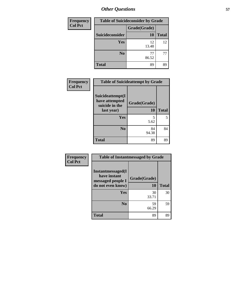| Frequency      | <b>Table of Suicideconsider by Grade</b> |              |              |  |
|----------------|------------------------------------------|--------------|--------------|--|
| <b>Col Pct</b> |                                          | Grade(Grade) |              |  |
|                | Suicideconsider                          | 10           | <b>Total</b> |  |
|                | <b>Yes</b>                               | 12<br>13.48  | 12           |  |
|                | N <sub>0</sub>                           | 77<br>86.52  | 77           |  |
|                | <b>Total</b>                             | 89           | 89           |  |

| Frequency      | <b>Table of Suicideattempt by Grade</b>                            |                    |              |
|----------------|--------------------------------------------------------------------|--------------------|--------------|
| <b>Col Pct</b> | Suicideattempt(I<br>have attempted<br>suicide in the<br>last year) | Grade(Grade)<br>10 | <b>Total</b> |
|                | Yes                                                                | 5.62               | 5            |
|                | N <sub>0</sub>                                                     | 84<br>94.38        | 84           |
|                | <b>Total</b>                                                       | 89                 | 89           |

| <b>Frequency</b> | <b>Table of Instantmessaged by Grade</b>                                            |                    |              |  |  |  |
|------------------|-------------------------------------------------------------------------------------|--------------------|--------------|--|--|--|
| <b>Col Pct</b>   | <b>Instantmessaged</b> (I<br>have instant<br>messaged people I<br>do not even know) | Grade(Grade)<br>10 | <b>Total</b> |  |  |  |
|                  | Yes                                                                                 | 30<br>33.71        | 30           |  |  |  |
|                  | N <sub>0</sub>                                                                      | 59<br>66.29        | 59           |  |  |  |
|                  | <b>Total</b>                                                                        | 89                 | 89           |  |  |  |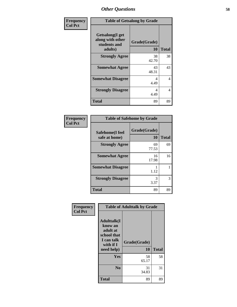| Frequency      | <b>Table of Getsalong by Grade</b>                                     |                    |              |  |  |  |
|----------------|------------------------------------------------------------------------|--------------------|--------------|--|--|--|
| <b>Col Pct</b> | <b>Getsalong</b> (I get<br>along with other<br>students and<br>adults) | Grade(Grade)<br>10 | <b>Total</b> |  |  |  |
|                | <b>Strongly Agree</b>                                                  | 38<br>42.70        | 38           |  |  |  |
|                | <b>Somewhat Agree</b>                                                  | 43<br>48.31        | 43           |  |  |  |
|                | <b>Somewhat Disagree</b>                                               | 4<br>4.49          | 4            |  |  |  |
|                | <b>Strongly Disagree</b>                                               | 4<br>4.49          | 4            |  |  |  |
|                | <b>Total</b>                                                           | 89                 | 89           |  |  |  |

| Frequency      |                                  | <b>Table of Safehome by Grade</b> |              |
|----------------|----------------------------------|-----------------------------------|--------------|
| <b>Col Pct</b> | Safehome(I feel<br>safe at home) | Grade(Grade)<br>10                | <b>Total</b> |
|                | <b>Strongly Agree</b>            | 69<br>77.53                       | 69           |
|                | <b>Somewhat Agree</b>            | 16<br>17.98                       | 16           |
|                | <b>Somewhat Disagree</b>         | 1.12                              |              |
|                | <b>Strongly Disagree</b>         | 3<br>3.37                         | 3            |
|                | <b>Total</b>                     | 89                                | 89           |

| Frequency      | <b>Table of Adulttalk by Grade</b>                                                                 |                    |              |  |  |
|----------------|----------------------------------------------------------------------------------------------------|--------------------|--------------|--|--|
| <b>Col Pct</b> | <b>Adulttalk</b> (I<br>know an<br>adult at<br>school that<br>I can talk<br>with if I<br>need help) | Grade(Grade)<br>10 | <b>Total</b> |  |  |
|                |                                                                                                    |                    |              |  |  |
|                | Yes                                                                                                | 58<br>65.17        | 58           |  |  |
|                | N <sub>0</sub>                                                                                     | 31<br>34.83        | 31           |  |  |
|                | Total                                                                                              | 89                 | 89           |  |  |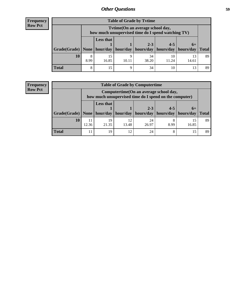| <b>Frequency</b> |
|------------------|
| <b>Row Pct</b>   |

| <b>Table of Grade by Tytime</b>                                               |           |                                                                                         |       |             |             |             |              |  |
|-------------------------------------------------------------------------------|-----------|-----------------------------------------------------------------------------------------|-------|-------------|-------------|-------------|--------------|--|
|                                                                               |           | Tytime (On an average school day,<br>how much unsupervised time do I spend watching TV) |       |             |             |             |              |  |
| Grade(Grade)   None   hour/day   hour/day   hours/day   hours/day   hours/day |           | <b>Less that</b>                                                                        |       | $2 - 3$     | $4 - 5$     | $6+$        | <b>Total</b> |  |
| 10                                                                            | 8<br>8.99 | 15<br>16.85                                                                             | 10.11 | 34<br>38.20 | 10<br>11.24 | 13<br>14.61 | 89           |  |
| <b>Total</b>                                                                  | 8         | 15                                                                                      | Ω     | 34          |             | 13          | 89           |  |

### **Frequency Row Pct**

| <b>Table of Grade by Computertime</b>     |             |                                                                                                   |             |                      |                                  |             |              |  |
|-------------------------------------------|-------------|---------------------------------------------------------------------------------------------------|-------------|----------------------|----------------------------------|-------------|--------------|--|
|                                           |             | Computertime (On an average school day,<br>how much unsupervised time do I spend on the computer) |             |                      |                                  |             |              |  |
| Grade(Grade)   None   hour/day   hour/day |             | <b>Less that</b>                                                                                  |             | $2 - 3$<br>hours/day | $4 - 5$<br>hours/day   hours/day | $6+$        | <b>Total</b> |  |
| 10                                        | 11<br>12.36 | 19<br>21.35                                                                                       | 12<br>13.48 | 24<br>26.97          | $\circ$<br>8.99                  | 15<br>16.85 | 89           |  |
| <b>Total</b>                              | 11          | 19                                                                                                | 12          | 24                   | 8                                | 15          | 89           |  |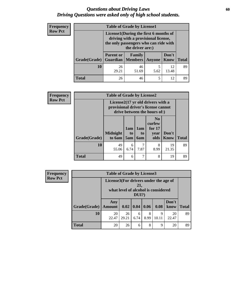## *Questions about Driving Laws* **60** *Driving Questions were asked only of high school students.*

| <b>Frequency</b> | <b>Table of Grade by License1</b> |                                                                                                                       |                                          |               |               |              |
|------------------|-----------------------------------|-----------------------------------------------------------------------------------------------------------------------|------------------------------------------|---------------|---------------|--------------|
| <b>Row Pct</b>   |                                   | License1(During the first 6 months of<br>driving with a provisional license,<br>the only passengers who can ride with |                                          |               |               |              |
|                  | Grade(Grade)                      | <b>Parent or</b>                                                                                                      | <b>Family</b><br><b>Guardian</b> Members | <b>Anyone</b> | Don't<br>Know | <b>Total</b> |
|                  | 10                                | 26<br>29.21                                                                                                           | 46<br>51.69                              | 5<br>5.62     | 12<br>13.48   | 89           |
|                  | <b>Total</b>                      | 26                                                                                                                    | 46                                       | 5             | 12            | 89           |

| Frequency      | <b>Table of Grade by License2</b> |                                     |                  |                  |                                                                               |                      |              |  |
|----------------|-----------------------------------|-------------------------------------|------------------|------------------|-------------------------------------------------------------------------------|----------------------|--------------|--|
| <b>Row Pct</b> |                                   | provisional driver's license cannot |                  |                  | License $2(17 \text{ yr})$ old drivers with a<br>drive between the hours of:) |                      |              |  |
|                | Grade(Grade)                      | <b>Midnight</b><br>to 6am           | 1am<br>to<br>5am | 1am<br>to<br>6am | N <sub>0</sub><br>curfew<br>for $17$<br>year<br>olds                          | Don't<br><b>Know</b> | <b>Total</b> |  |
|                | 10                                | 49<br>55.06                         | 6<br>6.74        | 7.87             | 8<br>8.99                                                                     | 19<br>21.35          | 89           |  |
|                | <b>Total</b>                      | 49                                  | 6                | 7                | 8                                                                             | 19                   | 89           |  |

| Frequency      | <b>Table of Grade by License3</b> |                                                                                              |             |             |           |            |               |              |
|----------------|-----------------------------------|----------------------------------------------------------------------------------------------|-------------|-------------|-----------|------------|---------------|--------------|
| <b>Row Pct</b> |                                   | License3(For drivers under the age of<br>21.<br>what level of alcohol is considered<br>DUI?) |             |             |           |            |               |              |
|                | Grade(Grade)                      | Any<br><b>Amount</b>                                                                         |             | 0.02   0.04 | 0.06      | 0.08       | Don't<br>know | <b>Total</b> |
|                | 10                                | 20<br>22.47                                                                                  | 26<br>29.21 | 6<br>6.74   | 8<br>8.99 | 9<br>10.11 | 20<br>22.47   | 89           |
|                | <b>Total</b>                      | 20                                                                                           | 26          | 6           | 8         | 9          | 20            | 89           |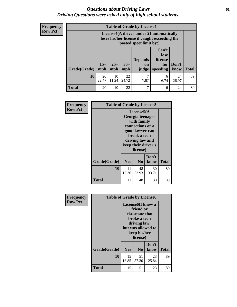## *Questions about Driving Laws* **61** *Driving Questions were asked only of high school students.*

| <b>Frequency</b> |
|------------------|
| <b>Row Pct</b>   |

| <b>Table of Grade by License4</b> |              |                                                                                                                      |              |                               |                                                          |               |              |
|-----------------------------------|--------------|----------------------------------------------------------------------------------------------------------------------|--------------|-------------------------------|----------------------------------------------------------|---------------|--------------|
|                                   |              | License4(A driver under 21 automatically<br>loses his/her license if caught exceeding the<br>posted speet limit by:) |              |                               |                                                          |               |              |
| Grade(Grade)                      | $15+$<br>mph | $25+$<br>mph                                                                                                         | $35+$<br>mph | <b>Depends</b><br>on<br>judge | Can't<br>lose<br>license<br>for <sub>l</sub><br>speeding | Don't<br>know | <b>Total</b> |
| 10                                | 20<br>22.47  | 10<br>11.24                                                                                                          | 22<br>24.72  | 7<br>7.87                     | 6<br>6.74                                                | 24<br>26.97   | 89           |
| Total                             | 20           | 10                                                                                                                   | 22           | 7                             | 6                                                        | 24            | 89           |

| Frequency<br><b>Row Pct</b> | <b>Table of Grade by License5</b> |             |                                                                                                                                      |                     |       |
|-----------------------------|-----------------------------------|-------------|--------------------------------------------------------------------------------------------------------------------------------------|---------------------|-------|
|                             |                                   |             | License5(A)<br>Georgia teenager<br>with family<br>connections or a<br>good lawyer can<br>break a teen<br>driving law and<br>license) | keep their driver's |       |
|                             | Grade(Grade)                      | Yes         | No.                                                                                                                                  | Don't<br>know       | Total |
|                             | 10                                | 11<br>12.36 | 48<br>53.93                                                                                                                          | 30<br>33.71         | 89    |
|                             | <b>Total</b>                      | 11          | 48                                                                                                                                   | 30                  | 89    |

| Frequency      | <b>Table of Grade by License6</b> |             |                                                                                                                                                 |               |              |
|----------------|-----------------------------------|-------------|-------------------------------------------------------------------------------------------------------------------------------------------------|---------------|--------------|
| <b>Row Pct</b> |                                   |             | License <sub>6</sub> (I know a<br>friend or<br>classmate that<br>broke a teen<br>driving law,<br>but was allowed to<br>keep his/her<br>license) |               |              |
|                | Grade(Grade)                      | Yes         | N <sub>0</sub>                                                                                                                                  | Don't<br>know | <b>Total</b> |
|                | 10                                | 15<br>16.85 | 51<br>57.30                                                                                                                                     | 23<br>25.84   | 89           |
|                | <b>Total</b>                      | 15          | 51                                                                                                                                              | 23            | 89           |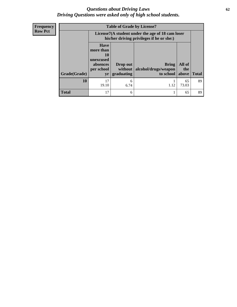## *Questions about Driving Laws* **62** *Driving Questions were asked only of high school students.*

| <b>Frequency</b> |
|------------------|
| Row Pct          |

| <b>Table of Grade by License7</b> |                                                                             |                                                                                                                                  |      |             |    |  |
|-----------------------------------|-----------------------------------------------------------------------------|----------------------------------------------------------------------------------------------------------------------------------|------|-------------|----|--|
|                                   |                                                                             | License7(A student under the age of 18 cam loser<br>his/her driving privileges if he or she:)                                    |      |             |    |  |
| Grade(Grade)                      | <b>Have</b><br>more than<br>10<br>unexcused<br>absences<br>per school<br>yr | All of<br><b>Bring</b><br>Drop out<br>alcohol/drugs/weapon<br>without<br>the<br>to school<br><b>Total</b><br>graduating<br>above |      |             |    |  |
| 10                                | 17<br>19.10                                                                 | 6<br>6.74                                                                                                                        | 1.12 | 65<br>73.03 | 89 |  |
| <b>Total</b>                      | 17                                                                          | 6                                                                                                                                |      | 65          | 89 |  |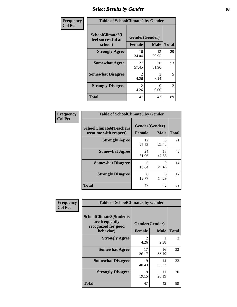# *Select Results by Gender* **63**

| Frequency      | <b>Table of SchoolClimate2 by Gender</b>          |                                     |             |                |  |
|----------------|---------------------------------------------------|-------------------------------------|-------------|----------------|--|
| <b>Col Pct</b> | SchoolClimate2(I<br>feel successful at<br>school) | Gender(Gender)<br><b>Female</b>     | <b>Male</b> | <b>Total</b>   |  |
|                | <b>Strongly Agree</b>                             | 16<br>34.04                         | 13<br>30.95 | 29             |  |
|                | <b>Somewhat Agree</b>                             | 27<br>57.45                         | 26<br>61.90 | 53             |  |
|                | <b>Somewhat Disagree</b>                          | $\mathcal{D}_{\mathcal{L}}$<br>4.26 | 3<br>7.14   | 5              |  |
|                | <b>Strongly Disagree</b>                          | $\mathcal{L}$<br>4.26               | 0<br>0.00   | $\overline{2}$ |  |
|                | <b>Total</b>                                      | 47                                  | 42          | 89             |  |

| <b>Frequency</b> | <b>Table of SchoolClimate6 by Gender</b>                                          |                                 |             |              |  |  |
|------------------|-----------------------------------------------------------------------------------|---------------------------------|-------------|--------------|--|--|
| <b>Col Pct</b>   | <b>SchoolClimate6(Teachers</b><br>treat me with respect)<br><b>Strongly Agree</b> | Gender(Gender)<br><b>Female</b> | <b>Male</b> | <b>Total</b> |  |  |
|                  |                                                                                   |                                 | Q           |              |  |  |
|                  |                                                                                   | 12<br>25.53                     | 21.43       | 21           |  |  |
|                  | <b>Somewhat Agree</b>                                                             | 24<br>51.06                     | 18<br>42.86 | 42           |  |  |
|                  | <b>Somewhat Disagree</b>                                                          | 5<br>10.64                      | 9<br>21.43  | 14           |  |  |
|                  | <b>Strongly Disagree</b>                                                          | 6<br>12.77                      | 6<br>14.29  | 12           |  |  |
|                  | <b>Total</b>                                                                      | 47                              | 42          | 89           |  |  |

| <b>Frequency</b> | <b>Table of SchoolClimate8 by Gender</b>                                             |                        |                               |              |  |  |
|------------------|--------------------------------------------------------------------------------------|------------------------|-------------------------------|--------------|--|--|
| <b>Col Pct</b>   | <b>SchoolClimate8(Students</b><br>are frequently<br>recognized for good<br>behavior) | <b>Female</b>          | Gender(Gender)<br><b>Male</b> | <b>Total</b> |  |  |
|                  | <b>Strongly Agree</b>                                                                | $\mathfrak{D}$<br>4.26 | 2.38                          | 3            |  |  |
|                  | <b>Somewhat Agree</b>                                                                | 17<br>36.17            | 16<br>38.10                   | 33           |  |  |
|                  | <b>Somewhat Disagree</b>                                                             | 19<br>40.43            | 14<br>33.33                   | 33           |  |  |
|                  | <b>Strongly Disagree</b>                                                             | 9<br>19.15             | 11<br>26.19                   | 20           |  |  |
|                  | Total                                                                                | 47                     | 42                            | 89           |  |  |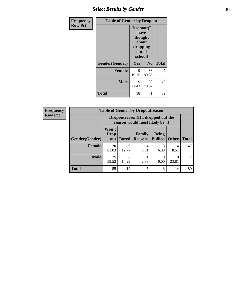# *Select Results by Gender* **64**

| Frequency      | <b>Table of Gender by Dropout</b> |                                                                        |                |              |  |
|----------------|-----------------------------------|------------------------------------------------------------------------|----------------|--------------|--|
| <b>Row Pct</b> |                                   | Dropout(I<br>have<br>thought<br>about<br>dropping<br>out of<br>school) |                |              |  |
|                | Gender(Gender)                    | Yes                                                                    | N <sub>0</sub> | <b>Total</b> |  |
|                | <b>Female</b>                     | 9<br>19.15                                                             | 38<br>80.85    | 47           |  |
|                | <b>Male</b>                       | 9<br>21.43                                                             | 33<br>78.57    | 42           |  |
|                | <b>Total</b>                      | 18                                                                     | 71             | 89           |  |

| <b>Frequency</b> | <b>Table of Gender by Dropoutreason</b> |                             |                                                                     |                          |                                |              |              |  |
|------------------|-----------------------------------------|-----------------------------|---------------------------------------------------------------------|--------------------------|--------------------------------|--------------|--------------|--|
| <b>Row Pct</b>   |                                         |                             | Dropoutreason (If I dropped out the<br>reason would most likely be) |                          |                                |              |              |  |
|                  | <b>Gender</b> (Gender)                  | Won't<br><b>Drop</b><br>out | <b>Bored</b>                                                        | Family<br><b>Reasons</b> | <b>Being</b><br><b>Bullied</b> | <b>Other</b> | <b>Total</b> |  |
|                  | <b>Female</b>                           | 30<br>63.83                 | 6<br>12.77                                                          | 8.51                     | 6.38                           | 4<br>8.51    | 47           |  |
|                  | <b>Male</b>                             | 25<br>59.52                 | 6<br>14.29                                                          | 2.38                     | 0.00                           | 10<br>23.81  | 42           |  |
|                  | <b>Total</b>                            | 55                          | 12                                                                  | 5                        | 3                              | 14           | 89           |  |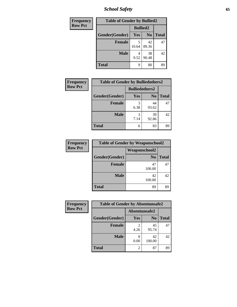*School Safety* **65**

| Frequency      | <b>Table of Gender by Bullied2</b> |                 |                |              |  |
|----------------|------------------------------------|-----------------|----------------|--------------|--|
| <b>Row Pct</b> |                                    | <b>Bullied2</b> |                |              |  |
|                | Gender(Gender)                     | Yes             | N <sub>0</sub> | <b>Total</b> |  |
|                | <b>Female</b>                      | 5<br>10.64      | 42<br>89.36    | 47           |  |
|                | <b>Male</b>                        | 9.52            | 38<br>90.48    | 42           |  |
|                | <b>Total</b>                       | 9               | 80             | 89           |  |

| <b>Frequency</b> | <b>Table of Gender by Bulliedothers2</b> |                       |                |              |
|------------------|------------------------------------------|-----------------------|----------------|--------------|
| <b>Row Pct</b>   |                                          | <b>Bulliedothers2</b> |                |              |
|                  | Gender(Gender)                           | <b>Yes</b>            | N <sub>0</sub> | <b>Total</b> |
|                  | <b>Female</b>                            | 3<br>6.38             | 44<br>93.62    | 47           |
|                  | <b>Male</b>                              | 3<br>7.14             | 39<br>92.86    | 42           |
|                  | Total                                    | 6                     | 83             | 89           |

| <b>Frequency</b> | <b>Table of Gender by Weaponschool2</b> |                |              |  |  |
|------------------|-----------------------------------------|----------------|--------------|--|--|
| <b>Row Pct</b>   |                                         | Weaponschool2  |              |  |  |
|                  | Gender(Gender)                          | N <sub>0</sub> | <b>Total</b> |  |  |
|                  | <b>Female</b>                           | 47<br>100.00   | 47           |  |  |
|                  | <b>Male</b>                             | 42<br>100.00   | 42           |  |  |
|                  | <b>Total</b>                            | 89             | 89           |  |  |

| Frequency      | <b>Table of Gender by Absentunsafe2</b> |               |                |              |
|----------------|-----------------------------------------|---------------|----------------|--------------|
| <b>Row Pct</b> |                                         | Absentunsafe2 |                |              |
|                | Gender(Gender)                          | Yes           | N <sub>0</sub> | <b>Total</b> |
|                | <b>Female</b>                           | 4.26          | 45<br>95.74    | 47           |
|                | <b>Male</b>                             | 0.00          | 42<br>100.00   | 42           |
|                | <b>Total</b>                            |               | 87             | 89           |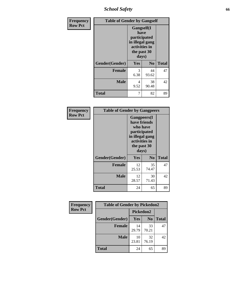*School Safety* **66**

| Frequency      | <b>Table of Gender by Gangself</b> |                                                                                                        |                |              |
|----------------|------------------------------------|--------------------------------------------------------------------------------------------------------|----------------|--------------|
| <b>Row Pct</b> |                                    | <b>Gangself</b> (I<br>have<br>participated<br>in illegal gang<br>activities in<br>the past 30<br>days) |                |              |
|                | Gender(Gender)                     | Yes                                                                                                    | N <sub>0</sub> | <b>Total</b> |
|                | <b>Female</b>                      | 3<br>6.38                                                                                              | 44<br>93.62    | 47           |
|                | <b>Male</b>                        | 4<br>9.52                                                                                              | 38<br>90.48    | 42           |
|                | <b>Total</b>                       | 7                                                                                                      | 82             | 89           |

| Frequency      | <b>Table of Gender by Gangpeers</b> |                                                                                                                             |                |              |
|----------------|-------------------------------------|-----------------------------------------------------------------------------------------------------------------------------|----------------|--------------|
| <b>Row Pct</b> |                                     | <b>Gangpeers</b> (I<br>have friends<br>who have<br>participated<br>in illegal gang<br>activities in<br>the past 30<br>days) |                |              |
|                | Gender(Gender)                      | Yes                                                                                                                         | N <sub>0</sub> | <b>Total</b> |
|                | <b>Female</b>                       | 12<br>25.53                                                                                                                 | 35<br>74.47    | 47           |
|                | <b>Male</b>                         | 12<br>28.57                                                                                                                 | 30<br>71.43    | 42           |
|                | Total                               | 24                                                                                                                          | 65             | 89           |

| Frequency      | <b>Table of Gender by Pickedon2</b> |             |                |              |
|----------------|-------------------------------------|-------------|----------------|--------------|
| <b>Row Pct</b> |                                     | Pickedon2   |                |              |
|                | Gender(Gender)                      | <b>Yes</b>  | N <sub>o</sub> | <b>Total</b> |
|                | <b>Female</b>                       | 14<br>29.79 | 33<br>70.21    | 47           |
|                | <b>Male</b>                         | 10<br>23.81 | 32<br>76.19    | 42           |
|                | <b>Total</b>                        | 24          | 65             | 89           |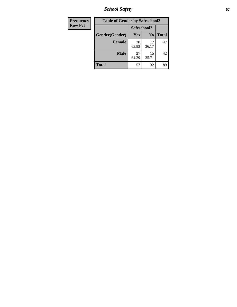*School Safety* **67**

| <b>Frequency</b> | <b>Table of Gender by Safeschool2</b> |             |                |              |
|------------------|---------------------------------------|-------------|----------------|--------------|
| <b>Row Pct</b>   |                                       |             | Safeschool2    |              |
|                  | Gender(Gender)                        | Yes         | N <sub>0</sub> | <b>Total</b> |
|                  | <b>Female</b>                         | 30<br>63.83 | 17<br>36.17    | 47           |
|                  | <b>Male</b>                           | 27<br>64.29 | 15<br>35.71    | 42           |
|                  | <b>Total</b>                          | 57          | 32             | 89           |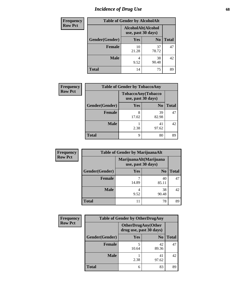# *Incidence of Drug Use* 68

| Frequency      | <b>Table of Gender by AlcoholAlt</b> |                    |                    |              |
|----------------|--------------------------------------|--------------------|--------------------|--------------|
| <b>Row Pct</b> |                                      | AlcoholAlt(Alcohol | use, past 30 days) |              |
|                | Gender(Gender)                       | Yes                | N <sub>0</sub>     | <b>Total</b> |
|                | <b>Female</b>                        | 10<br>21.28        | 37<br>78.72        | 47           |
|                | <b>Male</b>                          | 4<br>9.52          | 38<br>90.48        | 42           |
|                | <b>Total</b>                         | 14                 | 75                 | 89           |

| <b>Frequency</b> | <b>Table of Gender by TobaccoAny</b> |                                          |                |              |
|------------------|--------------------------------------|------------------------------------------|----------------|--------------|
| <b>Row Pct</b>   |                                      | TobaccoAny(Tobacco<br>use, past 30 days) |                |              |
|                  | Gender(Gender)                       | <b>Yes</b>                               | N <sub>0</sub> | <b>Total</b> |
|                  | <b>Female</b>                        | 8<br>17.02                               | 39<br>82.98    | 47           |
|                  | <b>Male</b>                          | 2.38                                     | 41<br>97.62    | 42           |
|                  | <b>Total</b>                         | q                                        | 80             | 89           |

| <b>Frequency</b> | <b>Table of Gender by MarijuanaAlt</b> |            |                                              |       |
|------------------|----------------------------------------|------------|----------------------------------------------|-------|
| <b>Row Pct</b>   |                                        |            | MarijuanaAlt(Marijuana<br>use, past 30 days) |       |
|                  | Gender(Gender)                         | Yes        | N <sub>0</sub>                               | Total |
|                  | Female                                 | ⇁<br>14.89 | 40<br>85.11                                  | 47    |
|                  | <b>Male</b>                            | 4<br>9.52  | 38<br>90.48                                  | 42    |
|                  | <b>Total</b>                           | 11         | 78                                           | 89    |

| <b>Frequency</b> | <b>Table of Gender by OtherDrugAny</b> |                         |                           |              |
|------------------|----------------------------------------|-------------------------|---------------------------|--------------|
| <b>Row Pct</b>   |                                        | drug use, past 30 days) | <b>OtherDrugAny(Other</b> |              |
|                  | Gender(Gender)                         | <b>Yes</b>              | N <sub>0</sub>            | <b>Total</b> |
|                  | <b>Female</b>                          | 10.64                   | 42<br>89.36               | 47           |
|                  | <b>Male</b>                            | 2.38                    | 41<br>97.62               | 42           |
|                  | <b>Total</b>                           | 6                       | 83                        | 89           |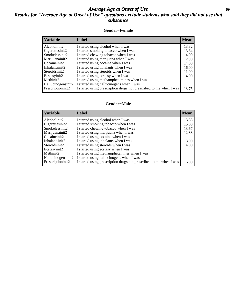## *Average Age at Onset of Use* **69** *Results for "Average Age at Onset of Use" questions exclude students who said they did not use that substance*

### **Gender=Female**

| <b>Variable</b>                 | <b>Label</b>                                                       | <b>Mean</b> |
|---------------------------------|--------------------------------------------------------------------|-------------|
| Alcoholinit2                    | I started using alcohol when I was                                 | 13.32       |
| Cigarettesinit2                 | I started smoking tobacco when I was                               | 13.64       |
| Smokelessinit2                  | I started chewing tobacco when I was                               | 14.00       |
| Marijuanainit2                  | I started using marijuana when I was                               | 12.90       |
| Cocaineinit2                    | I started using cocaine when I was                                 | 14.00       |
| Inhalantsinit2                  | I started using inhalants when I was                               | 16.00       |
| Steroidsinit2                   | I started using steroids when I was                                | 11.00       |
| Ecstasyinit2                    | I started using ecstasy when I was                                 | 14.00       |
| Methinit2                       | I started using methamphetamines when I was                        |             |
| Hallucinogensinit2              | I started using hallucinogens when I was                           |             |
| Prescription in it <sub>2</sub> | I started using prescription drugs not prescribed to me when I was | 13.75       |

#### **Gender=Male**

| <b>Variable</b>                 | Label                                                              | <b>Mean</b> |
|---------------------------------|--------------------------------------------------------------------|-------------|
| Alcoholinit2                    | I started using alcohol when I was                                 | 13.33       |
| Cigarettesinit2                 | I started smoking tobacco when I was                               | 15.00       |
| Smokelessinit2                  | I started chewing tobacco when I was                               | 13.67       |
| Marijuanainit2                  | I started using marijuana when I was                               | 12.83       |
| Cocaineinit2                    | I started using cocaine when I was                                 |             |
| Inhalantsinit2                  | I started using inhalants when I was                               | 13.00       |
| Steroidsinit2                   | I started using steroids when I was                                | 14.00       |
| Ecstasyinit2                    | I started using ecstasy when I was                                 |             |
| Methinit2                       | I started using methamphetamines when I was                        |             |
| Hallucinogensinit2              | I started using hallucinogens when I was                           |             |
| Prescription in it <sub>2</sub> | I started using prescription drugs not prescribed to me when I was | 16.00       |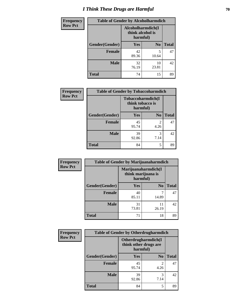# *I Think These Drugs are Harmful* **70**

| Frequency      | <b>Table of Gender by Alcoholharmdich</b> |                                                   |                |              |
|----------------|-------------------------------------------|---------------------------------------------------|----------------|--------------|
| <b>Row Pct</b> |                                           | Alcoholharmdich(I<br>think alcohol is<br>harmful) |                |              |
|                | Gender(Gender)                            | <b>Yes</b>                                        | N <sub>0</sub> | <b>Total</b> |
|                | <b>Female</b>                             | 42<br>89.36                                       | 5<br>10.64     | 47           |
|                | <b>Male</b>                               | 32<br>76.19                                       | 10<br>23.81    | 42           |
|                | <b>Total</b>                              | 74                                                | 15             | 89           |

| Frequency      | <b>Table of Gender by Tobaccoharmdich</b> |                                                   |                |              |
|----------------|-------------------------------------------|---------------------------------------------------|----------------|--------------|
| <b>Row Pct</b> |                                           | Tobaccoharmdich(I<br>think tobacco is<br>harmful) |                |              |
|                | Gender(Gender)                            | Yes                                               | N <sub>0</sub> | <b>Total</b> |
|                | <b>Female</b>                             | 45<br>95.74                                       | 2<br>4.26      | 47           |
|                | <b>Male</b>                               | 39<br>92.86                                       | 3<br>7.14      | 42           |
|                | <b>Total</b>                              | 84                                                | 5              | 89           |

| Frequency      | <b>Table of Gender by Marijuanaharmdich</b> |                                                       |                |              |
|----------------|---------------------------------------------|-------------------------------------------------------|----------------|--------------|
| <b>Row Pct</b> |                                             | Marijuanaharmdich(I<br>think marijuana is<br>harmful) |                |              |
|                | Gender(Gender)                              | <b>Yes</b>                                            | N <sub>0</sub> | <b>Total</b> |
|                | <b>Female</b>                               | 40<br>85.11                                           | 14.89          | 47           |
|                | <b>Male</b>                                 | 31<br>73.81                                           | 11<br>26.19    | 42           |
|                | <b>Total</b>                                | 71                                                    | 18             | 89           |

| Frequency      | <b>Table of Gender by Otherdrugharmdich</b> |                                   |                     |              |
|----------------|---------------------------------------------|-----------------------------------|---------------------|--------------|
| <b>Row Pct</b> |                                             | think other drugs are<br>harmful) | Otherdrugharmdich(I |              |
|                | Gender(Gender)                              | <b>Yes</b>                        | N <sub>0</sub>      | <b>Total</b> |
|                | <b>Female</b>                               | 45<br>95.74                       | 2<br>4.26           | 47           |
|                | <b>Male</b>                                 | 39<br>92.86                       | 3<br>7.14           | 42           |
|                | <b>Total</b>                                | 84                                | 5                   | 89           |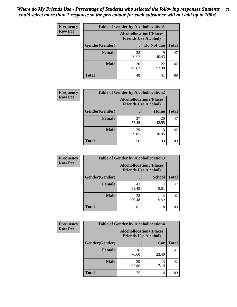| <b>Frequency</b> | <b>Table of Gender by Alcohollocation1</b> |                                                               |             |              |
|------------------|--------------------------------------------|---------------------------------------------------------------|-------------|--------------|
| <b>Row Pct</b>   |                                            | <b>Alcohollocation1(Places</b><br><b>Friends Use Alcohol)</b> |             |              |
|                  | Gender(Gender)                             |                                                               | Do Not Use  | <b>Total</b> |
|                  | <b>Female</b>                              | 28<br>59.57                                                   | 19<br>40.43 | 47           |
|                  | <b>Male</b>                                | 20<br>47.62                                                   | 22<br>52.38 | 42           |
|                  | Total                                      | 48                                                            | 41          | 89           |

| <b>Frequency</b> | <b>Table of Gender by Alcohollocation2</b> |                                |                             |              |
|------------------|--------------------------------------------|--------------------------------|-----------------------------|--------------|
| <b>Row Pct</b>   |                                            | <b>Alcohollocation2(Places</b> | <b>Friends Use Alcohol)</b> |              |
|                  | Gender(Gender)                             |                                | Home                        | <b>Total</b> |
|                  | <b>Female</b>                              | 27<br>57.45                    | 20<br>42.55                 | 47           |
|                  | <b>Male</b>                                | 29<br>69.05                    | 13<br>30.95                 | 42           |
|                  | <b>Total</b>                               | 56                             | 33                          | 89           |

| Frequency      | <b>Table of Gender by Alcohollocation3</b> |                                                               |               |              |
|----------------|--------------------------------------------|---------------------------------------------------------------|---------------|--------------|
| <b>Row Pct</b> |                                            | <b>Alcohollocation3(Places</b><br><b>Friends Use Alcohol)</b> |               |              |
|                | Gender(Gender)                             |                                                               | <b>School</b> | <b>Total</b> |
|                | <b>Female</b>                              | 43<br>91.49                                                   | 8.51          | 47           |
|                | <b>Male</b>                                | 38<br>90.48                                                   | 9.52          | 42           |
|                | <b>Total</b>                               | 81                                                            | 8             | 89           |

| <b>Frequency</b> | <b>Table of Gender by Alcohollocation4</b> |                                                               |             |              |
|------------------|--------------------------------------------|---------------------------------------------------------------|-------------|--------------|
| <b>Row Pct</b>   |                                            | <b>Alcohollocation4(Places</b><br><b>Friends Use Alcohol)</b> |             |              |
|                  | Gender(Gender)                             |                                                               | Car         | <b>Total</b> |
|                  | <b>Female</b>                              | 36<br>76.60                                                   | 11<br>23.40 | 47           |
|                  | <b>Male</b>                                | 39<br>92.86                                                   | 3<br>7.14   | 42           |
|                  | <b>Total</b>                               | 75                                                            | 14          | 89           |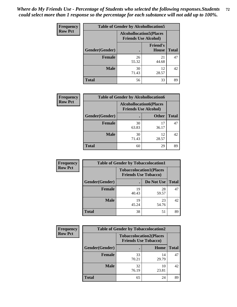| <b>Frequency</b> | <b>Table of Gender by Alcohollocation5</b> |                                                               |                                 |              |
|------------------|--------------------------------------------|---------------------------------------------------------------|---------------------------------|--------------|
| <b>Row Pct</b>   |                                            | <b>Alcohollocation5(Places</b><br><b>Friends Use Alcohol)</b> |                                 |              |
|                  | Gender(Gender)                             |                                                               | <b>Friend's</b><br><b>House</b> | <b>Total</b> |
|                  | <b>Female</b>                              | 26<br>55.32                                                   | 21<br>44.68                     | 47           |
|                  | <b>Male</b>                                | 30<br>71.43                                                   | 12<br>28.57                     | 42           |
|                  | <b>Total</b>                               | 56                                                            | 33                              | 89           |

| Frequency      | <b>Table of Gender by Alcohollocation6</b> |                                |                             |              |
|----------------|--------------------------------------------|--------------------------------|-----------------------------|--------------|
| <b>Row Pct</b> |                                            | <b>Alcohollocation6(Places</b> | <b>Friends Use Alcohol)</b> |              |
|                | Gender(Gender)                             |                                | <b>Other</b>                | <b>Total</b> |
|                | Female                                     | 30<br>63.83                    | 17<br>36.17                 | 47           |
|                | <b>Male</b>                                | 30<br>71.43                    | 12<br>28.57                 | 42           |
|                | <b>Total</b>                               | 60                             | 29                          | 89           |

| Frequency      | <b>Table of Gender by Tobaccolocation1</b> |                                                               |             |              |
|----------------|--------------------------------------------|---------------------------------------------------------------|-------------|--------------|
| <b>Row Pct</b> |                                            | <b>Tobaccolocation1(Places</b><br><b>Friends Use Tobacco)</b> |             |              |
|                | Gender(Gender)                             |                                                               | Do Not Use  | <b>Total</b> |
|                | Female                                     | 19<br>40.43                                                   | 28<br>59.57 | 47           |
|                | <b>Male</b>                                | 19<br>45.24                                                   | 23<br>54.76 | 42           |
|                | <b>Total</b>                               | 38                                                            | 51          | 89           |

| <b>Frequency</b> | <b>Table of Gender by Tobaccolocation2</b> |                                                               |             |              |
|------------------|--------------------------------------------|---------------------------------------------------------------|-------------|--------------|
| <b>Row Pct</b>   |                                            | <b>Tobaccolocation2(Places</b><br><b>Friends Use Tobacco)</b> |             |              |
|                  | Gender(Gender)                             |                                                               | Home        | <b>Total</b> |
|                  | Female                                     | 33<br>70.21                                                   | 14<br>29.79 | 47           |
|                  | <b>Male</b>                                | 32<br>76.19                                                   | 10<br>23.81 | 42           |
|                  | <b>Total</b>                               | 65                                                            | 24          | 89           |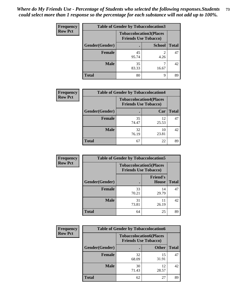| <b>Frequency</b> | <b>Table of Gender by Tobaccolocation3</b> |                             |                                |              |
|------------------|--------------------------------------------|-----------------------------|--------------------------------|--------------|
| <b>Row Pct</b>   |                                            | <b>Friends Use Tobacco)</b> | <b>Tobaccolocation3(Places</b> |              |
|                  | Gender(Gender)                             |                             | <b>School</b>                  | <b>Total</b> |
|                  | <b>Female</b>                              | 45<br>95.74                 | 4.26                           | 47           |
|                  | <b>Male</b>                                | 35<br>83.33                 | 16.67                          | 42           |
|                  | <b>Total</b>                               | 80                          | 9                              | 89           |

| <b>Frequency</b> | <b>Table of Gender by Tobaccolocation4</b> |                                                               |             |              |
|------------------|--------------------------------------------|---------------------------------------------------------------|-------------|--------------|
| <b>Row Pct</b>   |                                            | <b>Tobaccolocation4(Places</b><br><b>Friends Use Tobacco)</b> |             |              |
|                  | Gender(Gender)                             |                                                               | Car         | <b>Total</b> |
|                  | Female                                     | 35<br>74.47                                                   | 12<br>25.53 | 47           |
|                  | <b>Male</b>                                | 32<br>76.19                                                   | 10<br>23.81 | 42           |
|                  | <b>Total</b>                               | 67                                                            | 22          | 89           |

| <b>Frequency</b> | <b>Table of Gender by Tobaccolocation5</b>                    |             |                                 |              |
|------------------|---------------------------------------------------------------|-------------|---------------------------------|--------------|
| <b>Row Pct</b>   | <b>Tobaccolocation5(Places</b><br><b>Friends Use Tobacco)</b> |             |                                 |              |
|                  | Gender(Gender)                                                |             | <b>Friend's</b><br><b>House</b> | <b>Total</b> |
|                  | Female                                                        | 33<br>70.21 | 14<br>29.79                     | 47           |
|                  | <b>Male</b>                                                   | 31<br>73.81 | 11<br>26.19                     | 42           |
|                  | <b>Total</b>                                                  | 64          | 25                              | 89           |

| <b>Frequency</b> | <b>Table of Gender by Tobaccolocation6</b> |                                                               |              |              |
|------------------|--------------------------------------------|---------------------------------------------------------------|--------------|--------------|
| <b>Row Pct</b>   |                                            | <b>Tobaccolocation6(Places</b><br><b>Friends Use Tobacco)</b> |              |              |
|                  | Gender(Gender)                             |                                                               | <b>Other</b> | <b>Total</b> |
|                  | Female                                     | 32<br>68.09                                                   | 15<br>31.91  | 47           |
|                  | <b>Male</b>                                | 30<br>71.43                                                   | 12<br>28.57  | 42           |
|                  | <b>Total</b>                               | 62                                                            | 27           | 89           |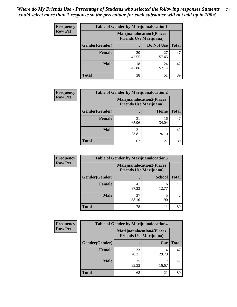| <b>Frequency</b> | <b>Table of Gender by Marijuanalocation1</b> |                                                                    |             |              |  |
|------------------|----------------------------------------------|--------------------------------------------------------------------|-------------|--------------|--|
| <b>Row Pct</b>   |                                              | <b>Marijuanalocation1(Places</b><br><b>Friends Use Marijuana</b> ) |             |              |  |
|                  | Gender(Gender)                               |                                                                    | Do Not Use  | <b>Total</b> |  |
|                  | <b>Female</b>                                | 20<br>42.55                                                        | 27<br>57.45 | 47           |  |
|                  | <b>Male</b>                                  | 18<br>42.86                                                        | 24<br>57.14 | 42           |  |
|                  | <b>Total</b>                                 | 38                                                                 | 51          | 89           |  |

| <b>Frequency</b> | <b>Table of Gender by Marijuanalocation2</b> |                                                                    |             |              |
|------------------|----------------------------------------------|--------------------------------------------------------------------|-------------|--------------|
| <b>Row Pct</b>   |                                              | <b>Marijuanalocation2(Places</b><br><b>Friends Use Marijuana</b> ) |             |              |
|                  | Gender(Gender)                               |                                                                    | Home        | <b>Total</b> |
|                  | Female                                       | 31<br>65.96                                                        | 16<br>34.04 | 47           |
|                  | <b>Male</b>                                  | 31<br>73.81                                                        | 26.19       | 42           |
|                  | <b>Total</b>                                 | 62                                                                 | 27          | 89           |

| Frequency      | <b>Table of Gender by Marijuanalocation3</b> |                                                                    |               |              |
|----------------|----------------------------------------------|--------------------------------------------------------------------|---------------|--------------|
| <b>Row Pct</b> |                                              | <b>Marijuanalocation3(Places</b><br><b>Friends Use Marijuana</b> ) |               |              |
|                | Gender(Gender)                               |                                                                    | <b>School</b> | <b>Total</b> |
|                | Female                                       | 41<br>87.23                                                        | 6<br>12.77    | 47           |
|                | <b>Male</b>                                  | 37<br>88.10                                                        | 5<br>11.90    | 42           |
|                | <b>Total</b>                                 | 78                                                                 | 11            | 89           |

| <b>Frequency</b> | <b>Table of Gender by Marijuanalocation4</b> |                                                                    |             |              |  |
|------------------|----------------------------------------------|--------------------------------------------------------------------|-------------|--------------|--|
| <b>Row Pct</b>   |                                              | <b>Marijuanalocation4(Places</b><br><b>Friends Use Marijuana</b> ) |             |              |  |
|                  | Gender(Gender)                               |                                                                    | Car         | <b>Total</b> |  |
|                  | <b>Female</b>                                | 33<br>70.21                                                        | 14<br>29.79 | 47           |  |
|                  | <b>Male</b>                                  | 35<br>83.33                                                        | 16.67       | 42           |  |
|                  | <b>Total</b>                                 | 68                                                                 | 21          | 89           |  |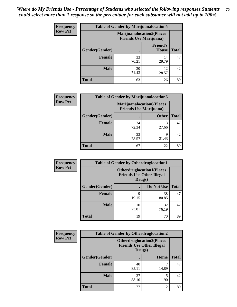| <b>Frequency</b> | <b>Table of Gender by Marijuanalocation5</b> |                                                                     |                          |              |
|------------------|----------------------------------------------|---------------------------------------------------------------------|--------------------------|--------------|
| <b>Row Pct</b>   |                                              | <b>Marijuanalocation5</b> (Places<br><b>Friends Use Marijuana</b> ) |                          |              |
|                  | Gender(Gender)                               |                                                                     | <b>Friend's</b><br>House | <b>Total</b> |
|                  | <b>Female</b>                                | 33<br>70.21                                                         | 14<br>29.79              | 47           |
|                  | <b>Male</b>                                  | 30<br>71.43                                                         | 12<br>28.57              | 42           |
|                  | <b>Total</b>                                 | 63                                                                  | 26                       | 89           |

| <b>Frequency</b> | <b>Table of Gender by Marijuanalocation6</b> |                                                                    |              |              |
|------------------|----------------------------------------------|--------------------------------------------------------------------|--------------|--------------|
| <b>Row Pct</b>   |                                              | <b>Marijuanalocation6(Places</b><br><b>Friends Use Marijuana</b> ) |              |              |
|                  | <b>Gender</b> (Gender)                       |                                                                    | <b>Other</b> | <b>Total</b> |
|                  | <b>Female</b>                                | 34<br>72.34                                                        | 13<br>27.66  | 47           |
|                  | <b>Male</b>                                  | 33<br>78.57                                                        | 9<br>21.43   | 42           |
|                  | <b>Total</b>                                 | 67                                                                 | 22           | 89           |

| Frequency      | <b>Table of Gender by Otherdruglocation1</b> |                                                                                |             |              |
|----------------|----------------------------------------------|--------------------------------------------------------------------------------|-------------|--------------|
| <b>Row Pct</b> |                                              | <b>Otherdruglocation1(Places</b><br><b>Friends Use Other Illegal</b><br>Drugs) |             |              |
|                | Gender(Gender)                               |                                                                                | Do Not Use  | <b>Total</b> |
|                | <b>Female</b>                                | q<br>19.15                                                                     | 38<br>80.85 | 47           |
|                | <b>Male</b>                                  | 10<br>23.81                                                                    | 32<br>76.19 | 42           |
|                | <b>Total</b>                                 | 19                                                                             | 70          | 89           |

| Frequency      | <b>Table of Gender by Otherdruglocation2</b> |                                                                                |       |              |
|----------------|----------------------------------------------|--------------------------------------------------------------------------------|-------|--------------|
| <b>Row Pct</b> |                                              | <b>Otherdruglocation2(Places</b><br><b>Friends Use Other Illegal</b><br>Drugs) |       |              |
|                | Gender(Gender)                               |                                                                                | Home  | <b>Total</b> |
|                | Female                                       | 40<br>85.11                                                                    | 14.89 | 47           |
|                | <b>Male</b>                                  | 37<br>88.10                                                                    | 11.90 | 42           |
|                | <b>Total</b>                                 | 77                                                                             | 12    | 89           |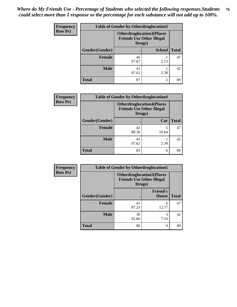| <b>Frequency</b> | <b>Table of Gender by Otherdruglocation3</b> |                                                                                |                |              |
|------------------|----------------------------------------------|--------------------------------------------------------------------------------|----------------|--------------|
| <b>Row Pct</b>   |                                              | <b>Otherdruglocation3(Places</b><br><b>Friends Use Other Illegal</b><br>Drugs) |                |              |
|                  | Gender(Gender)                               |                                                                                | <b>School</b>  | <b>Total</b> |
|                  | Female                                       | 46<br>97.87                                                                    | 2.13           | 47           |
|                  | <b>Male</b>                                  | 41<br>97.62                                                                    | 2.38           | 42           |
|                  | <b>Total</b>                                 | 87                                                                             | $\mathfrak{D}$ | 89           |

| Frequency      | <b>Table of Gender by Otherdruglocation4</b> |                                                                                |            |              |
|----------------|----------------------------------------------|--------------------------------------------------------------------------------|------------|--------------|
| <b>Row Pct</b> |                                              | <b>Otherdruglocation4(Places</b><br><b>Friends Use Other Illegal</b><br>Drugs) |            |              |
|                | Gender(Gender)                               |                                                                                | Car        | <b>Total</b> |
|                | Female                                       | 42<br>89.36                                                                    | 5<br>10.64 | 47           |
|                | <b>Male</b>                                  | 41<br>97.62                                                                    | 2.38       | 42           |
|                | <b>Total</b>                                 | 83                                                                             | 6          | 89           |

| Frequency      | <b>Table of Gender by Otherdruglocation5</b>                                   |             |                                 |              |
|----------------|--------------------------------------------------------------------------------|-------------|---------------------------------|--------------|
| <b>Row Pct</b> | <b>Otherdruglocation5(Places</b><br><b>Friends Use Other Illegal</b><br>Drugs) |             |                                 |              |
|                | Gender(Gender)                                                                 |             | <b>Friend's</b><br><b>House</b> | <b>Total</b> |
|                | <b>Female</b>                                                                  | 41<br>87.23 | 6<br>12.77                      | 47           |
|                | <b>Male</b>                                                                    | 39<br>92.86 | 3<br>7.14                       | 42           |
|                | <b>Total</b>                                                                   | 80          | 9                               | 89           |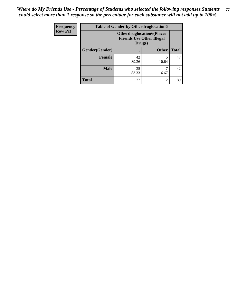| Frequency      | <b>Table of Gender by Otherdruglocation6</b> |                                                                                |              |              |
|----------------|----------------------------------------------|--------------------------------------------------------------------------------|--------------|--------------|
| <b>Row Pct</b> |                                              | <b>Otherdruglocation6(Places</b><br><b>Friends Use Other Illegal</b><br>Drugs) |              |              |
|                | Gender(Gender)                               |                                                                                | <b>Other</b> | <b>Total</b> |
|                | Female                                       | 42<br>89.36                                                                    | 10.64        | 47           |
|                | <b>Male</b>                                  | 35<br>83.33                                                                    | 16.67        | 42           |
|                | <b>Total</b>                                 | 77                                                                             | 12           | 89           |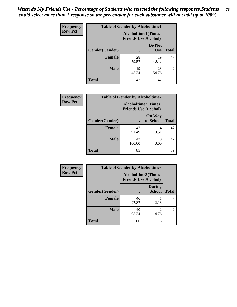| Frequency      | <b>Table of Gender by Alcoholtime1</b> |                                                          |                      |              |
|----------------|----------------------------------------|----------------------------------------------------------|----------------------|--------------|
| <b>Row Pct</b> |                                        | <b>Alcoholtime1(Times</b><br><b>Friends Use Alcohol)</b> |                      |              |
|                | Gender(Gender)                         |                                                          | Do Not<br><b>Use</b> | <b>Total</b> |
|                | <b>Female</b>                          | 28<br>59.57                                              | 19<br>40.43          | 47           |
|                | <b>Male</b>                            | 19<br>45.24                                              | 23<br>54.76          | 42           |
|                | <b>Total</b>                           | 47                                                       | 42                   | 89           |

| <b>Frequency</b> | <b>Table of Gender by Alcoholtime2</b> |                                                          |                            |              |
|------------------|----------------------------------------|----------------------------------------------------------|----------------------------|--------------|
| <b>Row Pct</b>   |                                        | <b>Alcoholtime2(Times</b><br><b>Friends Use Alcohol)</b> |                            |              |
|                  | Gender(Gender)                         |                                                          | <b>On Way</b><br>to School | <b>Total</b> |
|                  | <b>Female</b>                          | 43<br>91.49                                              | 4<br>8.51                  | 47           |
|                  | <b>Male</b>                            | 42<br>100.00                                             | 0<br>0.00                  | 42           |
|                  | <b>Total</b>                           | 85                                                       | 4                          | 89           |

| <b>Frequency</b> | <b>Table of Gender by Alcoholtime3</b> |                                                          |                                |              |
|------------------|----------------------------------------|----------------------------------------------------------|--------------------------------|--------------|
| <b>Row Pct</b>   |                                        | <b>Alcoholtime3(Times</b><br><b>Friends Use Alcohol)</b> |                                |              |
|                  | Gender(Gender)                         |                                                          | <b>During</b><br><b>School</b> | <b>Total</b> |
|                  | Female                                 | 46<br>97.87                                              | 2.13                           | 47           |
|                  | <b>Male</b>                            | 40<br>95.24                                              | 2<br>4.76                      | 42           |
|                  | <b>Total</b>                           | 86                                                       | 3                              | 89           |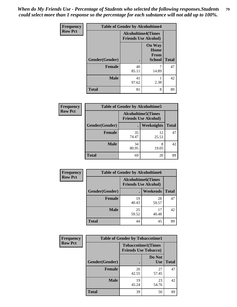*When do My Friends Use - Percentage of Students who selected the following responses.Students could select more than 1 response so the percentage for each substance will not add up to 100%.* **79**

| <b>Frequency</b> | <b>Table of Gender by Alcoholtime4</b> |                                                          |                                                |              |
|------------------|----------------------------------------|----------------------------------------------------------|------------------------------------------------|--------------|
| <b>Row Pct</b>   |                                        | <b>Alcoholtime4(Times</b><br><b>Friends Use Alcohol)</b> |                                                |              |
|                  | Gender(Gender)                         |                                                          | <b>On Way</b><br>Home<br>From<br><b>School</b> | <b>Total</b> |
|                  | <b>Female</b>                          | 40                                                       | 7                                              | 47           |
|                  |                                        | 85.11                                                    | 14.89                                          |              |
|                  | <b>Male</b>                            | 41<br>97.62                                              | 2.38                                           | 42           |
|                  | <b>Total</b>                           | 81                                                       | 8                                              | 89           |

| <b>Frequency</b> | <b>Table of Gender by Alcoholtime5</b> |                                                           |                   |              |
|------------------|----------------------------------------|-----------------------------------------------------------|-------------------|--------------|
| <b>Row Pct</b>   |                                        | <b>Alcoholtime5</b> (Times<br><b>Friends Use Alcohol)</b> |                   |              |
|                  | Gender(Gender)                         |                                                           | <b>Weeknights</b> | <b>Total</b> |
|                  | <b>Female</b>                          | 35<br>74.47                                               | 12<br>25.53       | 47           |
|                  | <b>Male</b>                            | 34<br>80.95                                               | 8<br>19.05        | 42           |
|                  | <b>Total</b>                           | 69                                                        | 20                | 89           |

| <b>Frequency</b> | <b>Table of Gender by Alcoholtime6</b> |             |                                                           |              |  |
|------------------|----------------------------------------|-------------|-----------------------------------------------------------|--------------|--|
| <b>Row Pct</b>   |                                        |             | <b>Alcoholtime6</b> (Times<br><b>Friends Use Alcohol)</b> |              |  |
|                  | Gender(Gender)                         |             | Weekends                                                  | <b>Total</b> |  |
|                  | <b>Female</b>                          | 19<br>40.43 | 28<br>59.57                                               | 47           |  |
|                  | <b>Male</b>                            | 25<br>59.52 | 17<br>40.48                                               | 42           |  |
|                  | <b>Total</b>                           | 44          | 45                                                        | 89           |  |

| Frequency      | <b>Table of Gender by Tobaccotime1</b> |                                                          |                      |              |
|----------------|----------------------------------------|----------------------------------------------------------|----------------------|--------------|
| <b>Row Pct</b> |                                        | <b>Tobaccotime1(Times</b><br><b>Friends Use Tobacco)</b> |                      |              |
|                | Gender(Gender)                         |                                                          | Do Not<br><b>Use</b> | <b>Total</b> |
|                | <b>Female</b>                          | 20<br>42.55                                              | 27<br>57.45          | 47           |
|                | <b>Male</b>                            | 19<br>45.24                                              | 23<br>54.76          | 42           |
|                | <b>Total</b>                           | 39                                                       | 50                   | 89           |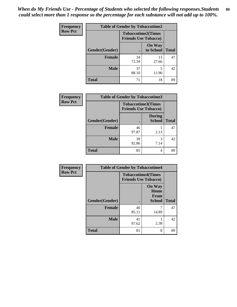*When do My Friends Use - Percentage of Students who selected the following responses.Students could select more than 1 response so the percentage for each substance will not add up to 100%.* **80**

| Frequency      |                | <b>Table of Gender by Tobaccotime2</b>                   |                            |              |
|----------------|----------------|----------------------------------------------------------|----------------------------|--------------|
| <b>Row Pct</b> |                | <b>Tobaccotime2(Times</b><br><b>Friends Use Tobacco)</b> |                            |              |
|                | Gender(Gender) | $\bullet$                                                | <b>On Way</b><br>to School | <b>Total</b> |
|                | Female         | 34<br>72.34                                              | 13<br>27.66                | 47           |
|                | <b>Male</b>    | 37<br>88.10                                              | 5<br>11.90                 | 42           |
|                | <b>Total</b>   | 71                                                       | 18                         | 89           |

| <b>Frequency</b> | <b>Table of Gender by Tobaccotime3</b> |                                                          |                                |              |
|------------------|----------------------------------------|----------------------------------------------------------|--------------------------------|--------------|
| <b>Row Pct</b>   |                                        | <b>Tobaccotime3(Times</b><br><b>Friends Use Tobacco)</b> |                                |              |
|                  | Gender(Gender)                         |                                                          | <b>During</b><br><b>School</b> | <b>Total</b> |
|                  | Female                                 | 46<br>97.87                                              | 2.13                           | 47           |
|                  | <b>Male</b>                            | 39<br>92.86                                              | 3<br>7.14                      | 42           |
|                  | <b>Total</b>                           | 85                                                       | 4                              | 89           |

| Frequency      | <b>Table of Gender by Tobaccotime4</b> |                                                          |                                                |              |
|----------------|----------------------------------------|----------------------------------------------------------|------------------------------------------------|--------------|
| <b>Row Pct</b> |                                        | <b>Tobaccotime4(Times</b><br><b>Friends Use Tobacco)</b> |                                                |              |
|                | <b>Gender</b> (Gender)                 |                                                          | <b>On Way</b><br>Home<br>From<br><b>School</b> | <b>Total</b> |
|                | <b>Female</b>                          | 40<br>85.11                                              | 14.89                                          | 47           |
|                | <b>Male</b>                            | 41<br>97.62                                              | 2.38                                           | 42           |
|                | <b>Total</b>                           | 81                                                       | 8                                              | 89           |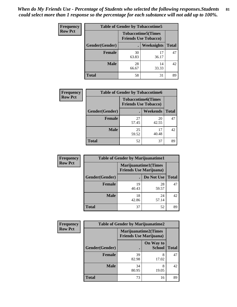| <b>Frequency</b> | <b>Table of Gender by Tobaccotime5</b> |             |                                                           |              |  |
|------------------|----------------------------------------|-------------|-----------------------------------------------------------|--------------|--|
| <b>Row Pct</b>   |                                        |             | <b>Tobaccotime5</b> (Times<br><b>Friends Use Tobacco)</b> |              |  |
|                  | Gender(Gender)                         |             | <b>Weeknights</b>                                         | <b>Total</b> |  |
|                  | <b>Female</b>                          | 30<br>63.83 | 17<br>36.17                                               | 47           |  |
|                  | <b>Male</b>                            | 28<br>66.67 | 14<br>33.33                                               | 42           |  |
|                  | <b>Total</b>                           | 58          | 31                                                        | 89           |  |

| <b>Frequency</b> |                | <b>Table of Gender by Tobaccotime6</b> |                           |              |  |
|------------------|----------------|----------------------------------------|---------------------------|--------------|--|
| <b>Row Pct</b>   |                | <b>Friends Use Tobacco)</b>            | <b>Tobaccotime6(Times</b> |              |  |
|                  | Gender(Gender) |                                        | <b>Weekends</b>           | <b>Total</b> |  |
|                  | Female         | 27<br>57.45                            | 20<br>42.55               | 47           |  |
|                  | <b>Male</b>    | 25<br>59.52                            | 17<br>40.48               | 42           |  |
|                  | <b>Total</b>   | 52                                     | 37                        | 89           |  |

| <b>Frequency</b> | <b>Table of Gender by Marijuanatime1</b> |                                                               |             |              |
|------------------|------------------------------------------|---------------------------------------------------------------|-------------|--------------|
| <b>Row Pct</b>   |                                          | <b>Marijuanatime1(Times</b><br><b>Friends Use Marijuana</b> ) |             |              |
|                  | Gender(Gender)                           |                                                               | Do Not Use  | <b>Total</b> |
|                  | <b>Female</b>                            | 19<br>40.43                                                   | 28<br>59.57 | 47           |
|                  | <b>Male</b>                              | 18<br>42.86                                                   | 24<br>57.14 | 42           |
|                  | <b>Total</b>                             | 37                                                            | 52          | 89           |

| <b>Frequency</b> | <b>Table of Gender by Marijuanatime2</b> |                                                               |                            |              |
|------------------|------------------------------------------|---------------------------------------------------------------|----------------------------|--------------|
| <b>Row Pct</b>   |                                          | <b>Marijuanatime2(Times</b><br><b>Friends Use Marijuana</b> ) |                            |              |
|                  | Gender(Gender)                           |                                                               | On Way to<br><b>School</b> | <b>Total</b> |
|                  | <b>Female</b>                            | 39<br>82.98                                                   | 8<br>17.02                 | 47           |
|                  | <b>Male</b>                              | 34<br>80.95                                                   | 8<br>19.05                 | 42           |
|                  | <b>Total</b>                             | 73                                                            | 16                         | 89           |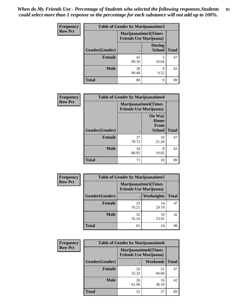| <b>Frequency</b> | <b>Table of Gender by Marijuanatime3</b> |                                                        |                                |              |
|------------------|------------------------------------------|--------------------------------------------------------|--------------------------------|--------------|
| <b>Row Pct</b>   |                                          | Marijuanatime3(Times<br><b>Friends Use Marijuana</b> ) |                                |              |
|                  | Gender(Gender)                           |                                                        | <b>During</b><br><b>School</b> | <b>Total</b> |
|                  | <b>Female</b>                            | 42<br>89.36                                            | 5<br>10.64                     | 47           |
|                  | <b>Male</b>                              | 38<br>90.48                                            | 4<br>9.52                      | 42           |
|                  | <b>Total</b>                             | 80                                                     | 9                              | 89           |

| Frequency      | <b>Table of Gender by Marijuanatime4</b> |                             |                                                       |              |
|----------------|------------------------------------------|-----------------------------|-------------------------------------------------------|--------------|
| <b>Row Pct</b> |                                          | <b>Marijuanatime4(Times</b> | <b>Friends Use Marijuana</b> )                        |              |
|                | Gender(Gender)                           |                             | <b>On Way</b><br>Home<br><b>From</b><br><b>School</b> | <b>Total</b> |
|                | <b>Female</b>                            | 37<br>78.72                 | 10<br>21.28                                           | 47           |
|                | <b>Male</b>                              | 34<br>80.95                 | 8<br>19.05                                            | 42           |
|                | <b>Total</b>                             | 71                          | 18                                                    | 89           |

| Frequency      |                | <b>Table of Gender by Marijuanatime5</b> |                                                                |              |
|----------------|----------------|------------------------------------------|----------------------------------------------------------------|--------------|
| <b>Row Pct</b> |                |                                          | <b>Marijuanatime5</b> (Times<br><b>Friends Use Marijuana</b> ) |              |
|                | Gender(Gender) |                                          | Weeknights                                                     | <b>Total</b> |
|                | Female         | 33<br>70.21                              | 14<br>29.79                                                    | 47           |
|                | <b>Male</b>    | 32<br>76.19                              | 10<br>23.81                                                    | 42           |
|                | <b>Total</b>   | 65                                       | 24                                                             | 89           |

| <b>Frequency</b> | <b>Table of Gender by Marijuanatime6</b> |                                                               |                 |              |  |
|------------------|------------------------------------------|---------------------------------------------------------------|-----------------|--------------|--|
| <b>Row Pct</b>   |                                          | <b>Marijuanatime6(Times</b><br><b>Friends Use Marijuana</b> ) |                 |              |  |
|                  | Gender(Gender)                           |                                                               | <b>Weekends</b> | <b>Total</b> |  |
|                  | <b>Female</b>                            | 26<br>55.32                                                   | 21<br>44.68     | 47           |  |
|                  | <b>Male</b>                              | 26<br>61.90                                                   | 16<br>38.10     | 42           |  |
|                  | <b>Total</b>                             | 52                                                            | 37              | 89           |  |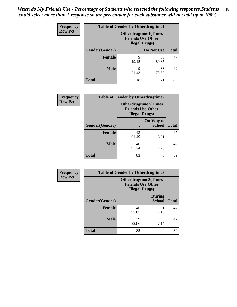*When do My Friends Use - Percentage of Students who selected the following responses.Students could select more than 1 response so the percentage for each substance will not add up to 100%.* **83**

| <b>Frequency</b> |                | <b>Table of Gender by Otherdrugtime1</b>                                           |                    |    |
|------------------|----------------|------------------------------------------------------------------------------------|--------------------|----|
| <b>Row Pct</b>   |                | <b>Otherdrugtime1</b> (Times<br><b>Friends Use Other</b><br><b>Illegal Drugs</b> ) |                    |    |
|                  | Gender(Gender) |                                                                                    | Do Not Use   Total |    |
|                  | <b>Female</b>  | 9<br>19.15                                                                         | 38<br>80.85        | 47 |
|                  | <b>Male</b>    | 9<br>21.43                                                                         | 33<br>78.57        | 42 |
|                  | <b>Total</b>   | 18                                                                                 | 71                 | 89 |

| Frequency      | <b>Table of Gender by Otherdrugtime2</b> |                                                                                   |                            |              |
|----------------|------------------------------------------|-----------------------------------------------------------------------------------|----------------------------|--------------|
| <b>Row Pct</b> |                                          | <b>Otherdrugtime2(Times</b><br><b>Friends Use Other</b><br><b>Illegal Drugs</b> ) |                            |              |
|                | Gender(Gender)                           |                                                                                   | On Way to<br><b>School</b> | <b>Total</b> |
|                | <b>Female</b>                            | 43<br>91.49                                                                       | 4<br>8.51                  | 47           |
|                | <b>Male</b>                              | 40<br>95.24                                                                       | $\mathfrak{D}$<br>4.76     | 42           |
|                | <b>Total</b>                             | 83                                                                                | 6                          | 89           |

| <b>Frequency</b> |                | <b>Table of Gender by Otherdrugtime3</b>           |                                |              |
|------------------|----------------|----------------------------------------------------|--------------------------------|--------------|
| <b>Row Pct</b>   |                | <b>Friends Use Other</b><br><b>Illegal Drugs</b> ) | Otherdrugtime3(Times           |              |
|                  | Gender(Gender) |                                                    | <b>During</b><br><b>School</b> | <b>Total</b> |
|                  | <b>Female</b>  | 46<br>97.87                                        | 2.13                           | 47           |
|                  | <b>Male</b>    | 39<br>92.86                                        | 3<br>7.14                      | 42           |
|                  | <b>Total</b>   | 85                                                 | 4                              | 89           |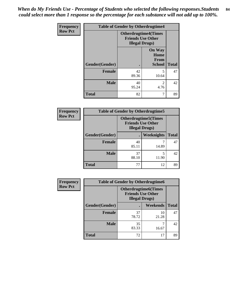*When do My Friends Use - Percentage of Students who selected the following responses.Students could select more than 1 response so the percentage for each substance will not add up to 100%.* **84**

| Frequency      | <b>Table of Gender by Otherdrugtime4</b> |                                                                                   |                                                       |              |  |
|----------------|------------------------------------------|-----------------------------------------------------------------------------------|-------------------------------------------------------|--------------|--|
| <b>Row Pct</b> |                                          | <b>Otherdrugtime4(Times</b><br><b>Friends Use Other</b><br><b>Illegal Drugs</b> ) |                                                       |              |  |
|                | Gender(Gender)                           |                                                                                   | <b>On Way</b><br>Home<br><b>From</b><br><b>School</b> | <b>Total</b> |  |
|                | <b>Female</b>                            | 42<br>89.36                                                                       | 5<br>10.64                                            | 47           |  |
|                | <b>Male</b>                              | 40<br>95.24                                                                       | 2<br>4.76                                             | 42           |  |
|                | <b>Total</b>                             | 82                                                                                | 7                                                     | 89           |  |

| <b>Frequency</b> | <b>Table of Gender by Otherdrugtime5</b>                                           |             |            |              |
|------------------|------------------------------------------------------------------------------------|-------------|------------|--------------|
| <b>Row Pct</b>   | <b>Otherdrugtime5</b> (Times<br><b>Friends Use Other</b><br><b>Illegal Drugs</b> ) |             |            |              |
|                  | Gender(Gender)                                                                     |             | Weeknights | <b>Total</b> |
|                  | <b>Female</b>                                                                      | 40<br>85.11 | 14.89      | 47           |
|                  | <b>Male</b>                                                                        | 37<br>88.10 | 11.90      | 42           |
|                  | <b>Total</b>                                                                       | 77          | 12         | 89           |

| <b>Frequency</b> | <b>Table of Gender by Otherdrugtime6</b> |                                                                                   |             |              |  |
|------------------|------------------------------------------|-----------------------------------------------------------------------------------|-------------|--------------|--|
| <b>Row Pct</b>   |                                          | <b>Otherdrugtime6(Times</b><br><b>Friends Use Other</b><br><b>Illegal Drugs</b> ) |             |              |  |
|                  | Gender(Gender)                           |                                                                                   | Weekends    | <b>Total</b> |  |
|                  | <b>Female</b>                            | 37<br>78.72                                                                       | 10<br>21.28 | 47           |  |
|                  | <b>Male</b>                              | 35<br>83.33                                                                       | ┑<br>16.67  | 42           |  |
|                  | <b>Total</b>                             | 72                                                                                | 17          | 89           |  |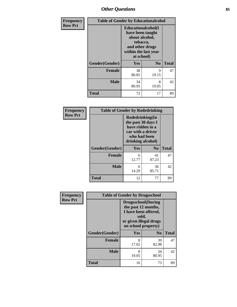## *Other Questions* **85**

| <b>Frequency</b> | <b>Table of Gender by Educationalcohol</b> |                                                                                                                                       |                |              |
|------------------|--------------------------------------------|---------------------------------------------------------------------------------------------------------------------------------------|----------------|--------------|
| <b>Row Pct</b>   |                                            | <b>Educationalcohol</b> (I<br>have been taught<br>about alcohol,<br>tobacco,<br>and other drugs<br>within the last year<br>at school) |                |              |
|                  | Gender(Gender)                             | <b>Yes</b>                                                                                                                            | N <sub>0</sub> | <b>Total</b> |
|                  | <b>Female</b>                              | 38<br>80.85                                                                                                                           | 9<br>19.15     | 47           |
|                  | <b>Male</b>                                | 34<br>80.95                                                                                                                           | 8<br>19.05     | 42           |
|                  | <b>Total</b>                               | 72                                                                                                                                    | 17             | 89           |

| Frequency      | <b>Table of Gender by Rodedrinking</b> |                                                                                                                     |             |              |
|----------------|----------------------------------------|---------------------------------------------------------------------------------------------------------------------|-------------|--------------|
| <b>Row Pct</b> |                                        | Rodedrinking(In<br>the past 30 days I<br>have ridden in a<br>car with a driver<br>who had been<br>drinking alcohol) |             |              |
|                | Gender(Gender)                         | Yes                                                                                                                 | $\bf N_0$   | <b>Total</b> |
|                | <b>Female</b>                          | 6<br>12.77                                                                                                          | 41<br>87.23 | 47           |
|                | <b>Male</b>                            | 6<br>14.29                                                                                                          | 36<br>85.71 | 42           |
|                | <b>Total</b>                           | 12                                                                                                                  | 77          | 89           |

| Frequency      |                | <b>Table of Gender by Drugsschool</b>                                                                                               |                |              |  |
|----------------|----------------|-------------------------------------------------------------------------------------------------------------------------------------|----------------|--------------|--|
| <b>Row Pct</b> |                | <b>Drugsschool</b> (During<br>the past 12 months,<br>I have been offered,<br>sold,<br>or given illegal drugs<br>on school property) |                |              |  |
|                | Gender(Gender) | Yes                                                                                                                                 | $\mathbf{N_0}$ | <b>Total</b> |  |
|                | <b>Female</b>  | 8<br>17.02                                                                                                                          | 39<br>82.98    | 47           |  |
|                | <b>Male</b>    | 8<br>19.05                                                                                                                          | 34<br>80.95    | 42           |  |
|                | <b>Total</b>   | 16                                                                                                                                  | 73             | 89           |  |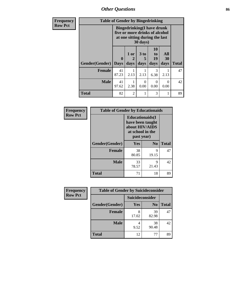*Other Questions* **86**

| Frequency      | <b>Table of Gender by Bingedrinking</b> |                                                                                                                            |                |                   |                        |                   |              |
|----------------|-----------------------------------------|----------------------------------------------------------------------------------------------------------------------------|----------------|-------------------|------------------------|-------------------|--------------|
| <b>Row Pct</b> |                                         | <b>Bingedrinking(I have drunk</b><br>five or more drinks of alcohol<br>at one sitting during the last<br>$30 \text{ days}$ |                |                   |                        |                   |              |
|                | Gender(Gender)                          | $\mathbf{0}$<br><b>Days</b>                                                                                                | 1 or<br>days   | 3 to<br>5<br>days | 10<br>to<br>19<br>days | All<br>30<br>days | <b>Total</b> |
|                | <b>Female</b>                           | 41<br>87.23                                                                                                                | 2.13           | 2.13              | 3<br>6.38              | 2.13              | 47           |
|                | <b>Male</b>                             | 41<br>97.62                                                                                                                | 2.38           | $\Omega$<br>0.00  | 0<br>0.00              | $\Omega$<br>0.00  | 42           |
|                | <b>Total</b>                            | 82                                                                                                                         | $\overline{c}$ |                   | 3                      |                   | 89           |

| Frequency      | <b>Table of Gender by Educationaids</b> |                                                                                                 |            |              |
|----------------|-----------------------------------------|-------------------------------------------------------------------------------------------------|------------|--------------|
| <b>Row Pct</b> |                                         | <b>Educationaids</b> (I<br>have been taught<br>about HIV/AIDS<br>at school in the<br>past year) |            |              |
|                | Gender(Gender)                          | Yes                                                                                             | $\bf N_0$  | <b>Total</b> |
|                | <b>Female</b>                           | 38<br>80.85                                                                                     | 9<br>19.15 | 47           |
|                | <b>Male</b>                             | 33<br>78.57                                                                                     | 9<br>21.43 | 42           |
|                | <b>Total</b>                            | 71                                                                                              | 18         | 89           |

| <b>Frequency</b> | <b>Table of Gender by Suicideconsider</b> |                 |                |              |
|------------------|-------------------------------------------|-----------------|----------------|--------------|
| <b>Row Pct</b>   |                                           | Suicideconsider |                |              |
|                  | Gender(Gender)                            | Yes             | N <sub>0</sub> | <b>Total</b> |
|                  | <b>Female</b>                             | 8<br>17.02      | 39<br>82.98    | 47           |
|                  | <b>Male</b>                               | 9.52            | 38<br>90.48    | 42           |
|                  | <b>Total</b>                              | 12              | 77             | 89           |